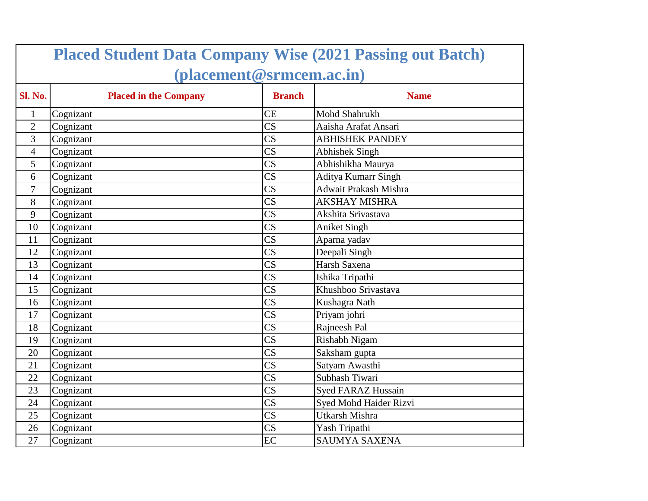|                | <b>Placed Student Data Company Wise (2021 Passing out Batch)</b> |                        |                           |  |  |
|----------------|------------------------------------------------------------------|------------------------|---------------------------|--|--|
|                | (placement@srmcem.ac.in)                                         |                        |                           |  |  |
| <b>Sl. No.</b> | <b>Placed in the Company</b>                                     | <b>Branch</b>          | <b>Name</b>               |  |  |
| $\mathbf{1}$   | Cognizant                                                        | <b>CE</b>              | Mohd Shahrukh             |  |  |
| $\overline{2}$ | Cognizant                                                        | $\overline{\text{CS}}$ | Aaisha Arafat Ansari      |  |  |
| 3              | Cognizant                                                        | $\overline{\text{CS}}$ | <b>ABHISHEK PANDEY</b>    |  |  |
| $\overline{4}$ | Cognizant                                                        | $\overline{\text{CS}}$ | <b>Abhishek Singh</b>     |  |  |
| 5              | Cognizant                                                        | $\overline{\text{CS}}$ | Abhishikha Maurya         |  |  |
| 6              | Cognizant                                                        | $\overline{\text{CS}}$ | Aditya Kumarr Singh       |  |  |
| $\overline{7}$ | Cognizant                                                        | $\overline{\text{CS}}$ | Adwait Prakash Mishra     |  |  |
| 8              | Cognizant                                                        | $\overline{\text{CS}}$ | <b>AKSHAY MISHRA</b>      |  |  |
| 9              | Cognizant                                                        | $\overline{\text{CS}}$ | Akshita Srivastava        |  |  |
| 10             | Cognizant                                                        | $\overline{\text{CS}}$ | <b>Aniket Singh</b>       |  |  |
| 11             | Cognizant                                                        | $\overline{\text{CS}}$ | Aparna yadav              |  |  |
| 12             | Cognizant                                                        | $\overline{\text{CS}}$ | Deepali Singh             |  |  |
| 13             | Cognizant                                                        | $\overline{\text{CS}}$ | Harsh Saxena              |  |  |
| 14             | Cognizant                                                        | $\overline{\text{CS}}$ | Ishika Tripathi           |  |  |
| 15             | Cognizant                                                        | $\overline{\text{CS}}$ | Khushboo Srivastava       |  |  |
| 16             | Cognizant                                                        | $\overline{\text{CS}}$ | Kushagra Nath             |  |  |
| 17             | Cognizant                                                        | $\overline{\text{CS}}$ | Priyam johri              |  |  |
| 18             | Cognizant                                                        | $\overline{\text{CS}}$ | Rajneesh Pal              |  |  |
| 19             | Cognizant                                                        | $\overline{\text{CS}}$ | Rishabh Nigam             |  |  |
| 20             | Cognizant                                                        | $\overline{\text{CS}}$ | Saksham gupta             |  |  |
| 21             | Cognizant                                                        | $\overline{\text{CS}}$ | Satyam Awasthi            |  |  |
| 22             | Cognizant                                                        | $\overline{\text{CS}}$ | Subhash Tiwari            |  |  |
| 23             | Cognizant                                                        | $\overline{\text{CS}}$ | <b>Syed FARAZ Hussain</b> |  |  |
| 24             | Cognizant                                                        | $\overline{\text{CS}}$ | Syed Mohd Haider Rizvi    |  |  |
| 25             | Cognizant                                                        | $\overline{\text{CS}}$ | Utkarsh Mishra            |  |  |
| 26             | Cognizant                                                        | $\overline{\text{CS}}$ | Yash Tripathi             |  |  |
| 27             | Cognizant                                                        | EC                     | <b>SAUMYA SAXENA</b>      |  |  |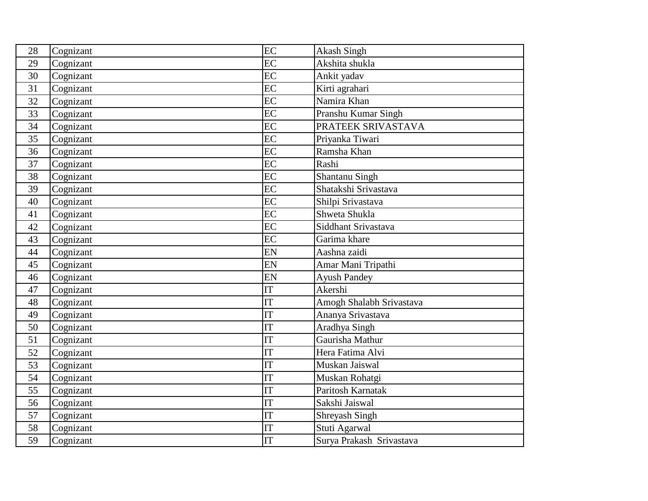| 28 | Cognizant | EC              | <b>Akash Singh</b>       |
|----|-----------|-----------------|--------------------------|
| 29 | Cognizant | EC              | Akshita shukla           |
| 30 | Cognizant | EC              | Ankit yadav              |
| 31 | Cognizant | EC              | Kirti agrahari           |
| 32 | Cognizant | EC              | Namira Khan              |
| 33 | Cognizant | $\overline{EC}$ | Pranshu Kumar Singh      |
| 34 | Cognizant | EC              | PRATEEK SRIVASTAVA       |
| 35 | Cognizant | EC              | Priyanka Tiwari          |
| 36 | Cognizant | EC              | Ramsha Khan              |
| 37 | Cognizant | EC              | Rashi                    |
| 38 | Cognizant | EC              | Shantanu Singh           |
| 39 | Cognizant | EC              | Shatakshi Srivastava     |
| 40 | Cognizant | EC              | Shilpi Srivastava        |
| 41 | Cognizant | EC              | Shweta Shukla            |
| 42 | Cognizant | EC              | Siddhant Srivastava      |
| 43 | Cognizant | EC              | Garima khare             |
| 44 | Cognizant | EN              | Aashna zaidi             |
| 45 | Cognizant | EN              | Amar Mani Tripathi       |
| 46 | Cognizant | EN              | <b>Ayush Pandey</b>      |
| 47 | Cognizant | IT              | Akershi                  |
| 48 | Cognizant | IT              | Amogh Shalabh Srivastava |
| 49 | Cognizant | IT              | Ananya Srivastava        |
| 50 | Cognizant | IT              | Aradhya Singh            |
| 51 | Cognizant | IT              | Gaurisha Mathur          |
| 52 | Cognizant | IT              | Hera Fatima Alvi         |
| 53 | Cognizant | IT              | Muskan Jaiswal           |
| 54 | Cognizant | IT              | Muskan Rohatgi           |
| 55 | Cognizant | IT              | Paritosh Karnatak        |
| 56 | Cognizant | IT              | Sakshi Jaiswal           |
| 57 | Cognizant | IT              | <b>Shreyash Singh</b>    |
| 58 | Cognizant | IT              | Stuti Agarwal            |
| 59 | Cognizant | <b>IT</b>       | Surya Prakash Srivastava |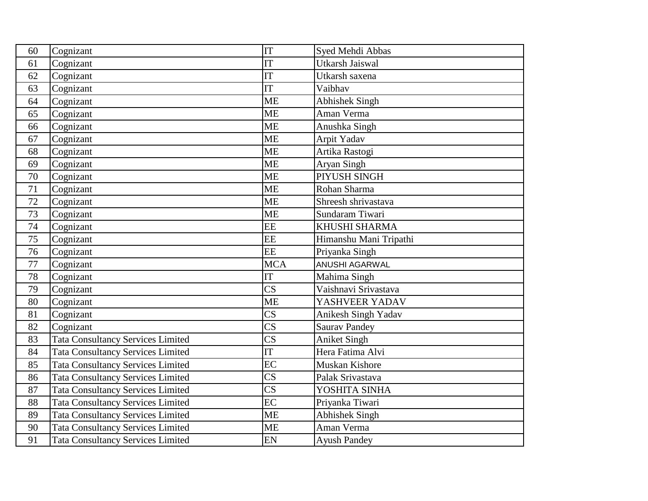| 60 | Cognizant                                | <b>IT</b>              | Syed Mehdi Abbas       |
|----|------------------------------------------|------------------------|------------------------|
| 61 | Cognizant                                | IT                     | Utkarsh Jaiswal        |
| 62 | Cognizant                                | IT                     | Utkarsh saxena         |
| 63 | Cognizant                                | <b>IT</b>              | Vaibhav                |
| 64 | Cognizant                                | <b>ME</b>              | <b>Abhishek Singh</b>  |
| 65 | Cognizant                                | <b>ME</b>              | Aman Verma             |
| 66 | Cognizant                                | <b>ME</b>              | Anushka Singh          |
| 67 | Cognizant                                | <b>ME</b>              | Arpit Yadav            |
| 68 | Cognizant                                | <b>ME</b>              | Artika Rastogi         |
| 69 | Cognizant                                | <b>ME</b>              | Aryan Singh            |
| 70 | Cognizant                                | <b>ME</b>              | PIYUSH SINGH           |
| 71 | Cognizant                                | <b>ME</b>              | Rohan Sharma           |
| 72 | Cognizant                                | <b>ME</b>              | Shreesh shrivastava    |
| 73 | Cognizant                                | <b>ME</b>              | Sundaram Tiwari        |
| 74 | Cognizant                                | EE                     | <b>KHUSHI SHARMA</b>   |
| 75 | Cognizant                                | EE                     | Himanshu Mani Tripathi |
| 76 | Cognizant                                | EE                     | Priyanka Singh         |
| 77 | Cognizant                                | <b>MCA</b>             | <b>ANUSHI AGARWAL</b>  |
| 78 | Cognizant                                | IT                     | Mahima Singh           |
| 79 | Cognizant                                | $\overline{\text{CS}}$ | Vaishnavi Srivastava   |
| 80 | Cognizant                                | <b>ME</b>              | YASHVEER YADAV         |
| 81 | Cognizant                                | $\overline{\text{CS}}$ | Anikesh Singh Yadav    |
| 82 | Cognizant                                | $\overline{\text{CS}}$ | <b>Saurav Pandey</b>   |
| 83 | <b>Tata Consultancy Services Limited</b> | $\overline{\text{CS}}$ | <b>Aniket Singh</b>    |
| 84 | <b>Tata Consultancy Services Limited</b> | IT                     | Hera Fatima Alvi       |
| 85 | <b>Tata Consultancy Services Limited</b> | EC                     | Muskan Kishore         |
| 86 | <b>Tata Consultancy Services Limited</b> | $\overline{\text{CS}}$ | Palak Srivastava       |
| 87 | <b>Tata Consultancy Services Limited</b> | $\overline{\text{CS}}$ | YOSHITA SINHA          |
| 88 | <b>Tata Consultancy Services Limited</b> | EC                     | Priyanka Tiwari        |
| 89 | <b>Tata Consultancy Services Limited</b> | <b>ME</b>              | <b>Abhishek Singh</b>  |
| 90 | <b>Tata Consultancy Services Limited</b> | <b>ME</b>              | Aman Verma             |
| 91 | <b>Tata Consultancy Services Limited</b> | EN                     | <b>Ayush Pandey</b>    |
|    |                                          |                        |                        |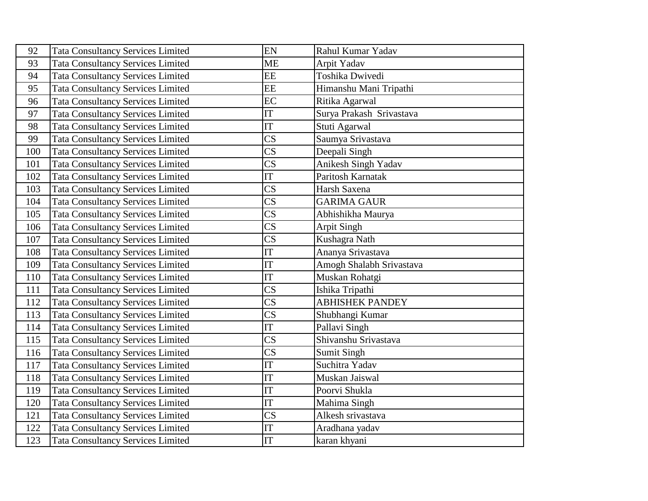| 92  | <b>Tata Consultancy Services Limited</b> | EN                     | Rahul Kumar Yadav        |
|-----|------------------------------------------|------------------------|--------------------------|
| 93  | <b>Tata Consultancy Services Limited</b> | <b>ME</b>              | Arpit Yadav              |
| 94  | <b>Tata Consultancy Services Limited</b> | EE                     | Toshika Dwivedi          |
| 95  | <b>Tata Consultancy Services Limited</b> | EE                     | Himanshu Mani Tripathi   |
| 96  | <b>Tata Consultancy Services Limited</b> | EC                     | Ritika Agarwal           |
| 97  | <b>Tata Consultancy Services Limited</b> | $\overline{\text{IT}}$ | Surya Prakash Srivastava |
| 98  | <b>Tata Consultancy Services Limited</b> | IT                     | Stuti Agarwal            |
| 99  | <b>Tata Consultancy Services Limited</b> | $\overline{\text{CS}}$ | Saumya Srivastava        |
| 100 | <b>Tata Consultancy Services Limited</b> | $\overline{\text{CS}}$ | Deepali Singh            |
| 101 | <b>Tata Consultancy Services Limited</b> | $\overline{\text{CS}}$ | Anikesh Singh Yadav      |
| 102 | <b>Tata Consultancy Services Limited</b> | IT                     | Paritosh Karnatak        |
| 103 | <b>Tata Consultancy Services Limited</b> | $\overline{\text{CS}}$ | Harsh Saxena             |
| 104 | <b>Tata Consultancy Services Limited</b> | $\overline{\text{CS}}$ | <b>GARIMA GAUR</b>       |
| 105 | <b>Tata Consultancy Services Limited</b> | $\overline{\text{CS}}$ | Abhishikha Maurya        |
| 106 | <b>Tata Consultancy Services Limited</b> | $\overline{\text{CS}}$ | <b>Arpit Singh</b>       |
| 107 | <b>Tata Consultancy Services Limited</b> | $\overline{\text{CS}}$ | Kushagra Nath            |
| 108 | <b>Tata Consultancy Services Limited</b> | IT                     | Ananya Srivastava        |
| 109 | <b>Tata Consultancy Services Limited</b> | IT                     | Amogh Shalabh Srivastava |
| 110 | <b>Tata Consultancy Services Limited</b> | IT                     | Muskan Rohatgi           |
| 111 | <b>Tata Consultancy Services Limited</b> | $\overline{\text{CS}}$ | Ishika Tripathi          |
| 112 | <b>Tata Consultancy Services Limited</b> | $\overline{\text{CS}}$ | <b>ABHISHEK PANDEY</b>   |
| 113 | <b>Tata Consultancy Services Limited</b> | $\overline{\text{CS}}$ | Shubhangi Kumar          |
| 114 | <b>Tata Consultancy Services Limited</b> | IT                     | Pallavi Singh            |
| 115 | <b>Tata Consultancy Services Limited</b> | $\overline{\text{CS}}$ | Shivanshu Srivastava     |
| 116 | <b>Tata Consultancy Services Limited</b> | $\overline{\text{CS}}$ | Sumit Singh              |
| 117 | <b>Tata Consultancy Services Limited</b> | IT                     | Suchitra Yadav           |
| 118 | <b>Tata Consultancy Services Limited</b> | $\overline{\text{IT}}$ | Muskan Jaiswal           |
| 119 | <b>Tata Consultancy Services Limited</b> | IT                     | Poorvi Shukla            |
| 120 | <b>Tata Consultancy Services Limited</b> | IT                     | Mahima Singh             |
| 121 | <b>Tata Consultancy Services Limited</b> | $\overline{\text{CS}}$ | Alkesh srivastava        |
| 122 | <b>Tata Consultancy Services Limited</b> | IT                     | Aradhana yadav           |
| 123 | <b>Tata Consultancy Services Limited</b> | IT                     | karan khyani             |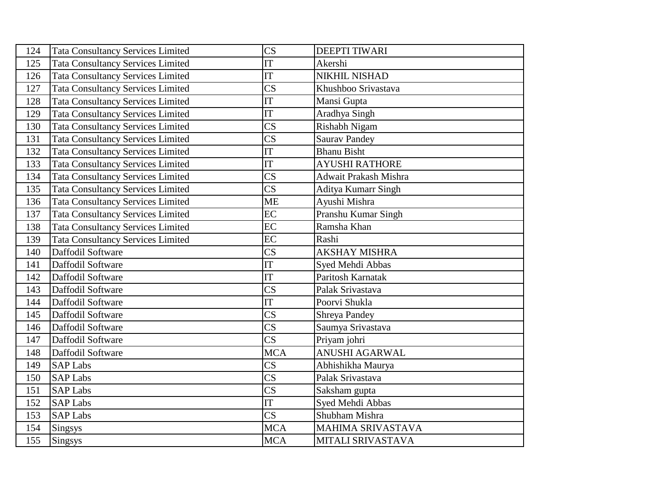| 124 | <b>Tata Consultancy Services Limited</b> | $\overline{\text{CS}}$ | <b>DEEPTI TIWARI</b>       |
|-----|------------------------------------------|------------------------|----------------------------|
| 125 | <b>Tata Consultancy Services Limited</b> | IT                     | Akershi                    |
| 126 | <b>Tata Consultancy Services Limited</b> | IT                     | <b>NIKHIL NISHAD</b>       |
| 127 | <b>Tata Consultancy Services Limited</b> | $\overline{\text{CS}}$ | Khushboo Srivastava        |
| 128 | <b>Tata Consultancy Services Limited</b> | IT                     | Mansi Gupta                |
| 129 | <b>Tata Consultancy Services Limited</b> | $\overline{\text{IT}}$ | Aradhya Singh              |
| 130 | <b>Tata Consultancy Services Limited</b> | $\overline{\text{CS}}$ | Rishabh Nigam              |
| 131 | <b>Tata Consultancy Services Limited</b> | $\overline{\text{CS}}$ | <b>Saurav Pandey</b>       |
| 132 | <b>Tata Consultancy Services Limited</b> | IT                     | Bhanu Bisht                |
| 133 | <b>Tata Consultancy Services Limited</b> | IT                     | <b>AYUSHI RATHORE</b>      |
| 134 | <b>Tata Consultancy Services Limited</b> | $\overline{\text{CS}}$ | Adwait Prakash Mishra      |
| 135 | <b>Tata Consultancy Services Limited</b> | $\overline{\text{CS}}$ | <b>Aditya Kumarr Singh</b> |
| 136 | <b>Tata Consultancy Services Limited</b> | <b>ME</b>              | Ayushi Mishra              |
| 137 | <b>Tata Consultancy Services Limited</b> | EC                     | Pranshu Kumar Singh        |
| 138 | <b>Tata Consultancy Services Limited</b> | EC                     | Ramsha Khan                |
| 139 | <b>Tata Consultancy Services Limited</b> | EC                     | Rashi                      |
| 140 | Daffodil Software                        | $\overline{\text{CS}}$ | <b>AKSHAY MISHRA</b>       |
| 141 | Daffodil Software                        | IT                     | Syed Mehdi Abbas           |
| 142 | Daffodil Software                        | IT                     | Paritosh Karnatak          |
| 143 | Daffodil Software                        | $\overline{\text{CS}}$ | Palak Srivastava           |
| 144 | Daffodil Software                        | IT                     | Poorvi Shukla              |
| 145 | Daffodil Software                        | $\overline{\text{CS}}$ | <b>Shreya Pandey</b>       |
| 146 | Daffodil Software                        | $\overline{\text{CS}}$ | Saumya Srivastava          |
| 147 | Daffodil Software                        | $\overline{\text{CS}}$ | Priyam johri               |
| 148 | Daffodil Software                        | <b>MCA</b>             | <b>ANUSHI AGARWAL</b>      |
| 149 | <b>SAP Labs</b>                          | $\overline{\text{CS}}$ | Abhishikha Maurya          |
| 150 | <b>SAP Labs</b>                          | $\overline{\text{CS}}$ | Palak Srivastava           |
| 151 | <b>SAP Labs</b>                          | $\overline{\text{CS}}$ | Saksham gupta              |
| 152 | <b>SAP Labs</b>                          | IT                     | Syed Mehdi Abbas           |
| 153 | <b>SAP Labs</b>                          | $\overline{\text{CS}}$ | Shubham Mishra             |
| 154 | Singsys                                  | <b>MCA</b>             | MAHIMA SRIVASTAVA          |
| 155 | Singsys                                  | <b>MCA</b>             | MITALI SRIVASTAVA          |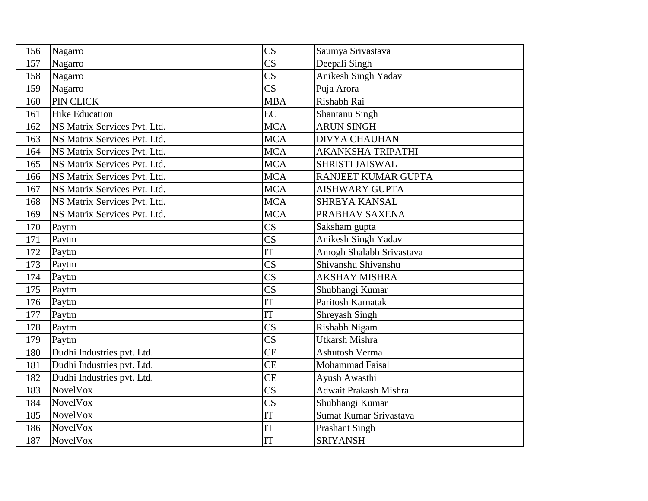| 156 | Nagarro                      | $\overline{\text{CS}}$ | Saumya Srivastava          |
|-----|------------------------------|------------------------|----------------------------|
| 157 | Nagarro                      | $\overline{\text{CS}}$ | Deepali Singh              |
| 158 | Nagarro                      | $\overline{\text{CS}}$ | <b>Anikesh Singh Yadav</b> |
| 159 | Nagarro                      | $\overline{\text{CS}}$ | Puja Arora                 |
| 160 | PIN CLICK                    | <b>MBA</b>             | Rishabh Rai                |
| 161 | <b>Hike Education</b>        | EC                     | Shantanu Singh             |
| 162 | NS Matrix Services Pvt. Ltd. | <b>MCA</b>             | <b>ARUN SINGH</b>          |
| 163 | NS Matrix Services Pvt. Ltd. | <b>MCA</b>             | <b>DIVYA CHAUHAN</b>       |
| 164 | NS Matrix Services Pvt. Ltd. | <b>MCA</b>             | <b>AKANKSHA TRIPATHI</b>   |
| 165 | NS Matrix Services Pvt. Ltd. | <b>MCA</b>             | SHRISTI JAISWAL            |
| 166 | NS Matrix Services Pvt. Ltd. | <b>MCA</b>             | RANJEET KUMAR GUPTA        |
| 167 | NS Matrix Services Pvt. Ltd. | <b>MCA</b>             | <b>AISHWARY GUPTA</b>      |
| 168 | NS Matrix Services Pvt. Ltd. | <b>MCA</b>             | SHREYA KANSAL              |
| 169 | NS Matrix Services Pvt. Ltd. | <b>MCA</b>             | PRABHAV SAXENA             |
| 170 | Paytm                        | CS                     | Saksham gupta              |
| 171 | Paytm                        | $\overline{\text{CS}}$ | Anikesh Singh Yadav        |
| 172 | Paytm                        | IT                     | Amogh Shalabh Srivastava   |
| 173 | Paytm                        | $\overline{\text{CS}}$ | Shivanshu Shivanshu        |
| 174 | Paytm                        | $\overline{\text{CS}}$ | <b>AKSHAY MISHRA</b>       |
| 175 | Paytm                        | CS                     | Shubhangi Kumar            |
| 176 | Paytm                        | IT                     | Paritosh Karnatak          |
| 177 | Paytm                        | IT                     | Shreyash Singh             |
| 178 | Paytm                        | CS                     | Rishabh Nigam              |
| 179 | Paytm                        | $\overline{\text{CS}}$ | Utkarsh Mishra             |
| 180 | Dudhi Industries pvt. Ltd.   | <b>CE</b>              | Ashutosh Verma             |
| 181 | Dudhi Industries pvt. Ltd.   | <b>CE</b>              | <b>Mohammad Faisal</b>     |
| 182 | Dudhi Industries pvt. Ltd.   | <b>CE</b>              | Ayush Awasthi              |
| 183 | <b>NovelVox</b>              | $\overline{\text{CS}}$ | Adwait Prakash Mishra      |
| 184 | <b>NovelVox</b>              | $\overline{\text{CS}}$ | Shubhangi Kumar            |
| 185 | <b>NovelVox</b>              | $\overline{\text{IT}}$ | Sumat Kumar Srivastava     |
| 186 | <b>NovelVox</b>              | IT                     | <b>Prashant Singh</b>      |
| 187 | <b>NovelVox</b>              | IT                     | <b>SRIYANSH</b>            |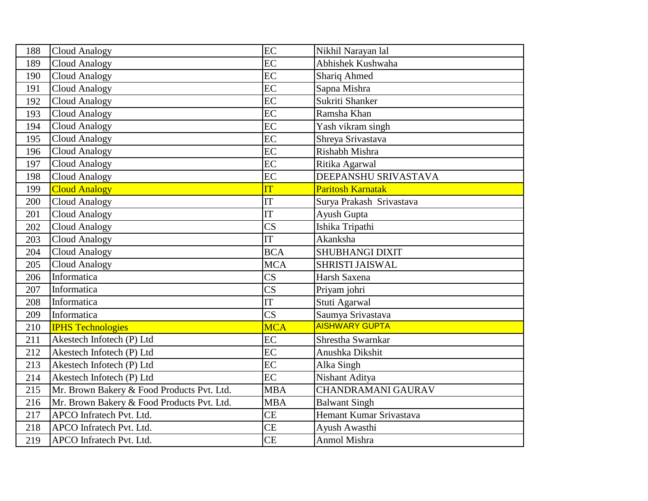| 188 | <b>Cloud Analogy</b>                       | EC                     | Nikhil Narayan lal          |
|-----|--------------------------------------------|------------------------|-----------------------------|
| 189 | <b>Cloud Analogy</b>                       | EC                     | Abhishek Kushwaha           |
| 190 | <b>Cloud Analogy</b>                       | EC                     | <b>Shariq Ahmed</b>         |
| 191 | <b>Cloud Analogy</b>                       | EC                     | Sapna Mishra                |
| 192 | <b>Cloud Analogy</b>                       | EC                     | Sukriti Shanker             |
| 193 | <b>Cloud Analogy</b>                       | $\overline{EC}$        | Ramsha Khan                 |
| 194 | <b>Cloud Analogy</b>                       | EC                     | Yash vikram singh           |
| 195 | <b>Cloud Analogy</b>                       | EC                     | Shreya Srivastava           |
| 196 | <b>Cloud Analogy</b>                       | EC                     | Rishabh Mishra              |
| 197 | <b>Cloud Analogy</b>                       | EC                     | Ritika Agarwal              |
| 198 | <b>Cloud Analogy</b>                       | EC                     | <b>DEEPANSHU SRIVASTAVA</b> |
| 199 | <b>Cloud Analogy</b>                       | IT                     | <b>Paritosh Karnatak</b>    |
| 200 | <b>Cloud Analogy</b>                       | IT                     | Surya Prakash Srivastava    |
| 201 | <b>Cloud Analogy</b>                       | IT                     | Ayush Gupta                 |
| 202 | <b>Cloud Analogy</b>                       | $\overline{\text{CS}}$ | Ishika Tripathi             |
| 203 | <b>Cloud Analogy</b>                       | IT                     | Akanksha                    |
| 204 | <b>Cloud Analogy</b>                       | <b>BCA</b>             | <b>SHUBHANGI DIXIT</b>      |
| 205 | <b>Cloud Analogy</b>                       | <b>MCA</b>             | <b>SHRISTI JAISWAL</b>      |
| 206 | Informatica                                | $\overline{\text{CS}}$ | Harsh Saxena                |
| 207 | Informatica                                | $\overline{\text{CS}}$ | Priyam johri                |
| 208 | Informatica                                | IT                     | Stuti Agarwal               |
| 209 | Informatica                                | $\overline{\text{CS}}$ | Saumya Srivastava           |
| 210 | <b>IPHS Technologies</b>                   | <b>MCA</b>             | <b>AISHWARY GUPTA</b>       |
| 211 | Akestech Infotech (P) Ltd                  | EC                     | Shrestha Swarnkar           |
| 212 | Akestech Infotech (P) Ltd                  | EC                     | Anushka Dikshit             |
| 213 | Akestech Infotech (P) Ltd                  | EC                     | Alka Singh                  |
| 214 | Akestech Infotech (P) Ltd                  | EC                     | Nishant Aditya              |
| 215 | Mr. Brown Bakery & Food Products Pvt. Ltd. | <b>MBA</b>             | CHANDRAMANI GAURAV          |
| 216 | Mr. Brown Bakery & Food Products Pvt. Ltd. | <b>MBA</b>             | <b>Balwant Singh</b>        |
| 217 | APCO Infratech Pvt. Ltd.                   | <b>CE</b>              | Hemant Kumar Srivastava     |
| 218 | APCO Infratech Pvt. Ltd.                   | <b>CE</b>              | Ayush Awasthi               |
| 219 | APCO Infratech Pvt. Ltd.                   | <b>CE</b>              | Anmol Mishra                |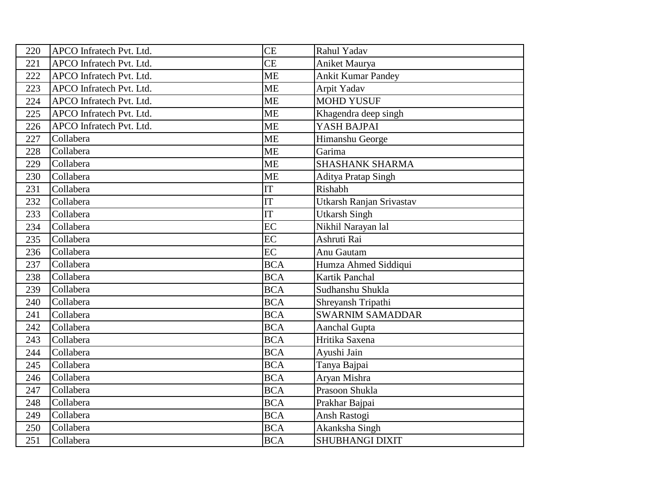| 220 | APCO Infratech Pvt. Ltd. | <b>CE</b>  | Rahul Yadav                |
|-----|--------------------------|------------|----------------------------|
| 221 | APCO Infratech Pvt. Ltd. | <b>CE</b>  | Aniket Maurya              |
| 222 | APCO Infratech Pvt. Ltd. | <b>ME</b>  | <b>Ankit Kumar Pandey</b>  |
| 223 | APCO Infratech Pvt. Ltd. | <b>ME</b>  | Arpit Yadav                |
| 224 | APCO Infratech Pvt. Ltd. | <b>ME</b>  | <b>MOHD YUSUF</b>          |
| 225 | APCO Infratech Pvt. Ltd. | <b>ME</b>  | Khagendra deep singh       |
| 226 | APCO Infratech Pvt. Ltd. | <b>ME</b>  | YASH BAJPAI                |
| 227 | Collabera                | <b>ME</b>  | Himanshu George            |
| 228 | Collabera                | <b>ME</b>  | Garima                     |
| 229 | Collabera                | <b>ME</b>  | <b>SHASHANK SHARMA</b>     |
| 230 | Collabera                | <b>ME</b>  | <b>Aditya Pratap Singh</b> |
| 231 | Collabera                | IT         | Rishabh                    |
| 232 | Collabera                | IT         | Utkarsh Ranjan Srivastav   |
| 233 | Collabera                | IT         | <b>Utkarsh Singh</b>       |
| 234 | Collabera                | EC         | Nikhil Narayan lal         |
| 235 | Collabera                | EC         | Ashruti Rai                |
| 236 | Collabera                | EC         | Anu Gautam                 |
| 237 | Collabera                | <b>BCA</b> | Humza Ahmed Siddiqui       |
| 238 | Collabera                | <b>BCA</b> | <b>Kartik Panchal</b>      |
| 239 | Collabera                | <b>BCA</b> | Sudhanshu Shukla           |
| 240 | Collabera                | <b>BCA</b> | Shreyansh Tripathi         |
| 241 | Collabera                | <b>BCA</b> | <b>SWARNIM SAMADDAR</b>    |
| 242 | Collabera                | <b>BCA</b> | <b>Aanchal Gupta</b>       |
| 243 | Collabera                | <b>BCA</b> | Hritika Saxena             |
| 244 | Collabera                | <b>BCA</b> | Ayushi Jain                |
| 245 | Collabera                | <b>BCA</b> | Tanya Bajpai               |
| 246 | Collabera                | <b>BCA</b> | Aryan Mishra               |
| 247 | Collabera                | <b>BCA</b> | Prasoon Shukla             |
| 248 | Collabera                | <b>BCA</b> | Prakhar Bajpai             |
| 249 | Collabera                | <b>BCA</b> | Ansh Rastogi               |
| 250 | Collabera                | <b>BCA</b> | Akanksha Singh             |
| 251 | Collabera                | <b>BCA</b> | SHUBHANGI DIXIT            |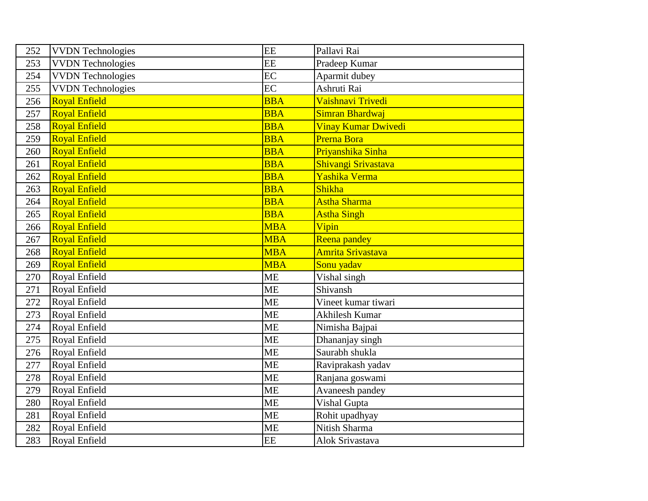| 252 | <b>VVDN</b> Technologies | EE         | Pallavi Rai         |
|-----|--------------------------|------------|---------------------|
| 253 | <b>VVDN</b> Technologies | EE         | Pradeep Kumar       |
| 254 | <b>VVDN</b> Technologies | EC         | Aparmit dubey       |
| 255 | <b>VVDN</b> Technologies | EC         | Ashruti Rai         |
| 256 | <b>Royal Enfield</b>     | <b>BBA</b> | Vaishnavi Trivedi   |
| 257 | <b>Royal Enfield</b>     | <b>BBA</b> | Simran Bhardwaj     |
| 258 | <b>Royal Enfield</b>     | <b>BBA</b> | Vinay Kumar Dwivedi |
| 259 | <b>Royal Enfield</b>     | <b>BBA</b> | Prerna Bora         |
| 260 | <b>Royal Enfield</b>     | <b>BBA</b> | Priyanshika Sinha   |
| 261 | <b>Royal Enfield</b>     | <b>BBA</b> | Shivangi Srivastava |
| 262 | <b>Royal Enfield</b>     | <b>BBA</b> | Yashika Verma       |
| 263 | <b>Royal Enfield</b>     | <b>BBA</b> | Shikha              |
| 264 | <b>Royal Enfield</b>     | <b>BBA</b> | Astha Sharma        |
| 265 | <b>Royal Enfield</b>     | <b>BBA</b> | <b>Astha Singh</b>  |
| 266 | <b>Royal Enfield</b>     | <b>MBA</b> | Vipin               |
| 267 | <b>Royal Enfield</b>     | <b>MBA</b> | Reena pandey        |
| 268 | <b>Royal Enfield</b>     | <b>MBA</b> | Amrita Srivastava   |
| 269 | <b>Royal Enfield</b>     | <b>MBA</b> | Sonu yadav          |
| 270 | Royal Enfield            | <b>ME</b>  | Vishal singh        |
| 271 | Royal Enfield            | <b>ME</b>  | Shivansh            |
| 272 | Royal Enfield            | <b>ME</b>  | Vineet kumar tiwari |
| 273 | Royal Enfield            | <b>ME</b>  | Akhilesh Kumar      |
| 274 | Royal Enfield            | <b>ME</b>  | Nimisha Bajpai      |
| 275 | Royal Enfield            | <b>ME</b>  | Dhananjay singh     |
| 276 | Royal Enfield            | <b>ME</b>  | Saurabh shukla      |
| 277 | Royal Enfield            | <b>ME</b>  | Raviprakash yadav   |
| 278 | Royal Enfield            | <b>ME</b>  | Ranjana goswami     |
| 279 | Royal Enfield            | <b>ME</b>  | Avaneesh pandey     |
| 280 | Royal Enfield            | <b>ME</b>  | <b>Vishal Gupta</b> |
| 281 | Royal Enfield            | <b>ME</b>  | Rohit upadhyay      |
| 282 | Royal Enfield            | <b>ME</b>  | Nitish Sharma       |
| 283 | Royal Enfield            | EE         | Alok Srivastava     |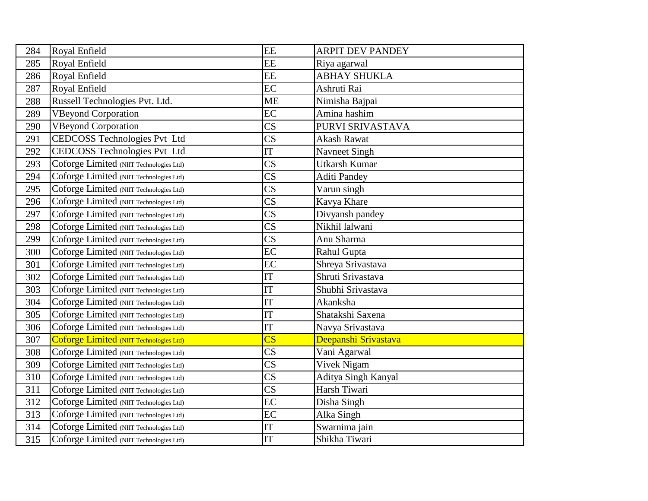| 284 | Royal Enfield                           | EE                     | <b>ARPIT DEV PANDEY</b> |
|-----|-----------------------------------------|------------------------|-------------------------|
| 285 | Royal Enfield                           | EE                     | Riya agarwal            |
| 286 | Royal Enfield                           | EE                     | <b>ABHAY SHUKLA</b>     |
| 287 | Royal Enfield                           | EC                     | Ashruti Rai             |
| 288 | Russell Technologies Pvt. Ltd.          | <b>ME</b>              | Nimisha Bajpai          |
| 289 | <b>VBeyond Corporation</b>              | EC                     | Amina hashim            |
| 290 | <b>VBeyond Corporation</b>              | $\overline{\text{CS}}$ | PURVI SRIVASTAVA        |
| 291 | CEDCOSS Technologies Pvt Ltd            | $\overline{\text{CS}}$ | <b>Akash Rawat</b>      |
| 292 | CEDCOSS Technologies Pvt Ltd            | IT                     | <b>Navneet Singh</b>    |
| 293 | Coforge Limited (NIIT Technologies Ltd) | $\overline{\text{CS}}$ | <b>Utkarsh Kumar</b>    |
| 294 | Coforge Limited (NIIT Technologies Ltd) | $\overline{\text{CS}}$ | <b>Aditi Pandey</b>     |
| 295 | Coforge Limited (NIIT Technologies Ltd) | $\overline{\text{CS}}$ | Varun singh             |
| 296 | Coforge Limited (NIIT Technologies Ltd) | $\overline{\text{CS}}$ | Kavya Khare             |
| 297 | Coforge Limited (NIIT Technologies Ltd) | $\overline{\text{CS}}$ | Divyansh pandey         |
| 298 | Coforge Limited (NIIT Technologies Ltd) | $\overline{\text{CS}}$ | Nikhil lalwani          |
| 299 | Coforge Limited (NIIT Technologies Ltd) | $\overline{\text{CS}}$ | Anu Sharma              |
| 300 | Coforge Limited (NIIT Technologies Ltd) | EC                     | Rahul Gupta             |
| 301 | Coforge Limited (NIIT Technologies Ltd) | EC                     | Shreya Srivastava       |
| 302 | Coforge Limited (NIIT Technologies Ltd) | IT                     | Shruti Srivastava       |
| 303 | Coforge Limited (NIIT Technologies Ltd) | IT                     | Shubhi Srivastava       |
| 304 | Coforge Limited (NIIT Technologies Ltd) | IT                     | Akanksha                |
| 305 | Coforge Limited (NIIT Technologies Ltd) | IT                     | Shatakshi Saxena        |
| 306 | Coforge Limited (NIIT Technologies Ltd) | IT                     | Navya Srivastava        |
| 307 | Coforge Limited (NIIT Technologies Ltd) | $\overline{\text{CS}}$ | Deepanshi Srivastava    |
| 308 | Coforge Limited (NIIT Technologies Ltd) | $\overline{\text{CS}}$ | Vani Agarwal            |
| 309 | Coforge Limited (NIIT Technologies Ltd) | $\overline{\text{CS}}$ | Vivek Nigam             |
| 310 | Coforge Limited (NIIT Technologies Ltd) | $\overline{\text{CS}}$ | Aditya Singh Kanyal     |
| 311 | Coforge Limited (NIIT Technologies Ltd) | $\overline{\text{CS}}$ | Harsh Tiwari            |
| 312 | Coforge Limited (NIIT Technologies Ltd) | EC                     | Disha Singh             |
| 313 | Coforge Limited (NIIT Technologies Ltd) | EC                     | Alka Singh              |
| 314 | Coforge Limited (NIIT Technologies Ltd) | IT                     | Swarnima jain           |
| 315 | Coforge Limited (NIIT Technologies Ltd) | IT                     | Shikha Tiwari           |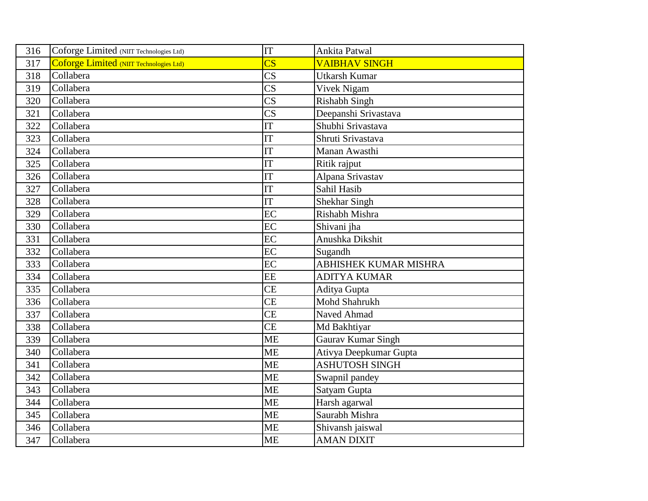| 316 | Coforge Limited (NIIT Technologies Ltd) | <b>IT</b>              | Ankita Patwal             |
|-----|-----------------------------------------|------------------------|---------------------------|
| 317 | Coforge Limited (NIIT Technologies Ltd) | $\overline{\text{CS}}$ | <b>VAIBHAV SINGH</b>      |
| 318 | Collabera                               | $\overline{\text{CS}}$ | <b>Utkarsh Kumar</b>      |
| 319 | Collabera                               | $\overline{\text{CS}}$ | Vivek Nigam               |
| 320 | Collabera                               | $\overline{\text{CS}}$ | <b>Rishabh Singh</b>      |
| 321 | Collabera                               | $\overline{\text{CS}}$ | Deepanshi Srivastava      |
| 322 | Collabera                               | $\overline{\text{IT}}$ | Shubhi Srivastava         |
| 323 | Collabera                               | IT                     | Shruti Srivastava         |
| 324 | Collabera                               | IT                     | Manan Awasthi             |
| 325 | Collabera                               | IT                     | Ritik rajput              |
| 326 | Collabera                               | IT                     | Alpana Srivastav          |
| 327 | Collabera                               | IT                     | Sahil Hasib               |
| 328 | Collabera                               | IT                     | <b>Shekhar Singh</b>      |
| 329 | Collabera                               | EC                     | Rishabh Mishra            |
| 330 | Collabera                               | EC                     | Shivani jha               |
| 331 | Collabera                               | EC                     | Anushka Dikshit           |
|     |                                         |                        |                           |
| 332 | Collabera                               | EC                     | Sugandh                   |
| 333 | Collabera                               | $\overline{EC}$        | ABHISHEK KUMAR MISHRA     |
| 334 | Collabera                               | EE                     | <b>ADITYA KUMAR</b>       |
| 335 | Collabera                               | <b>CE</b>              | Aditya Gupta              |
| 336 | Collabera                               | <b>CE</b>              | Mohd Shahrukh             |
| 337 | Collabera                               | <b>CE</b>              | Naved Ahmad               |
| 338 | Collabera                               | <b>CE</b>              | Md Bakhtiyar              |
| 339 | Collabera                               | <b>ME</b>              | <b>Gaurav Kumar Singh</b> |
| 340 | Collabera                               | <b>ME</b>              | Ativya Deepkumar Gupta    |
| 341 | Collabera                               | <b>ME</b>              | <b>ASHUTOSH SINGH</b>     |
| 342 | Collabera                               | <b>ME</b>              | Swapnil pandey            |
| 343 | Collabera                               | <b>ME</b>              | Satyam Gupta              |
| 344 | Collabera                               | <b>ME</b>              | Harsh agarwal             |
| 345 | Collabera                               | <b>ME</b>              | Saurabh Mishra            |
| 346 | Collabera                               | <b>ME</b>              | Shivansh jaiswal          |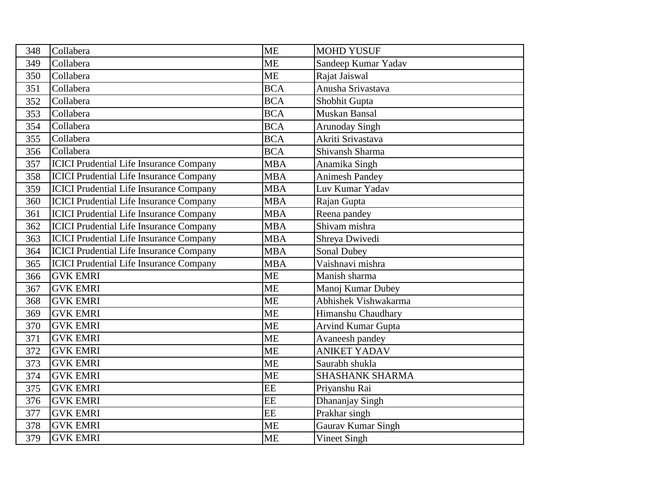| 348 | Collabera                                      | <b>ME</b>  | <b>MOHD YUSUF</b>         |
|-----|------------------------------------------------|------------|---------------------------|
| 349 | Collabera                                      | <b>ME</b>  | Sandeep Kumar Yadav       |
| 350 | Collabera                                      | <b>ME</b>  | Rajat Jaiswal             |
| 351 | Collabera                                      | <b>BCA</b> | Anusha Srivastava         |
| 352 | Collabera                                      | <b>BCA</b> | Shobhit Gupta             |
| 353 | Collabera                                      | <b>BCA</b> | Muskan Bansal             |
| 354 | Collabera                                      | <b>BCA</b> | <b>Arunoday Singh</b>     |
| 355 | Collabera                                      | <b>BCA</b> | Akriti Srivastava         |
| 356 | Collabera                                      | <b>BCA</b> | Shivansh Sharma           |
| 357 | <b>ICICI Prudential Life Insurance Company</b> | <b>MBA</b> | Anamika Singh             |
| 358 | <b>ICICI Prudential Life Insurance Company</b> | <b>MBA</b> | <b>Animesh Pandey</b>     |
| 359 | <b>ICICI Prudential Life Insurance Company</b> | <b>MBA</b> | Luv Kumar Yadav           |
| 360 | <b>ICICI Prudential Life Insurance Company</b> | <b>MBA</b> | Rajan Gupta               |
| 361 | <b>ICICI Prudential Life Insurance Company</b> | <b>MBA</b> | Reena pandey              |
| 362 | <b>ICICI Prudential Life Insurance Company</b> | <b>MBA</b> | Shivam mishra             |
| 363 | <b>ICICI Prudential Life Insurance Company</b> | <b>MBA</b> | Shreya Dwivedi            |
| 364 | <b>ICICI Prudential Life Insurance Company</b> | <b>MBA</b> | <b>Sonal Dubey</b>        |
| 365 | <b>ICICI</b> Prudential Life Insurance Company | <b>MBA</b> | Vaishnavi mishra          |
| 366 | <b>GVK EMRI</b>                                | <b>ME</b>  | Manish sharma             |
| 367 | <b>GVK EMRI</b>                                | <b>ME</b>  | Manoj Kumar Dubey         |
| 368 | <b>GVK EMRI</b>                                | <b>ME</b>  | Abhishek Vishwakarma      |
| 369 | <b>GVK EMRI</b>                                | <b>ME</b>  | Himanshu Chaudhary        |
| 370 | <b>GVK EMRI</b>                                | <b>ME</b>  | <b>Arvind Kumar Gupta</b> |
| 371 | <b>GVK EMRI</b>                                | <b>ME</b>  | Avaneesh pandey           |
| 372 | <b>GVK EMRI</b>                                | <b>ME</b>  | <b>ANIKET YADAV</b>       |
| 373 | <b>GVK EMRI</b>                                | <b>ME</b>  | Saurabh shukla            |
| 374 | <b>GVK EMRI</b>                                | <b>ME</b>  | <b>SHASHANK SHARMA</b>    |
| 375 | <b>GVK EMRI</b>                                | EE         | Priyanshu Rai             |
| 376 | <b>GVK EMRI</b>                                | EE         | Dhananjay Singh           |
| 377 | <b>GVK EMRI</b>                                | EE         | Prakhar singh             |
| 378 | <b>GVK EMRI</b>                                | <b>ME</b>  | Gaurav Kumar Singh        |
| 379 | <b>GVK EMRI</b>                                | <b>ME</b>  | Vineet Singh              |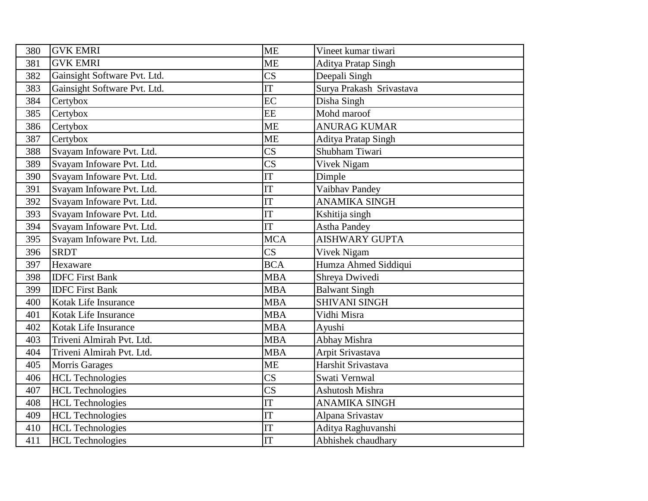| 380 | <b>GVK EMRI</b>              | <b>ME</b>              | Vineet kumar tiwari        |
|-----|------------------------------|------------------------|----------------------------|
| 381 | <b>GVK EMRI</b>              | <b>ME</b>              | <b>Aditya Pratap Singh</b> |
| 382 | Gainsight Software Pvt. Ltd. | $\overline{\text{CS}}$ | Deepali Singh              |
| 383 | Gainsight Software Pvt. Ltd. | IT                     | Surya Prakash Srivastava   |
| 384 | Certybox                     | EC                     | Disha Singh                |
| 385 | Certybox                     | EE                     | Mohd maroof                |
| 386 | Certybox                     | <b>ME</b>              | <b>ANURAG KUMAR</b>        |
| 387 | Certybox                     | <b>ME</b>              | Aditya Pratap Singh        |
| 388 | Svayam Infoware Pvt. Ltd.    | $\overline{\text{CS}}$ | Shubham Tiwari             |
| 389 | Svayam Infoware Pvt. Ltd.    | $\overline{\text{CS}}$ | Vivek Nigam                |
| 390 | Svayam Infoware Pvt. Ltd.    | IT                     | Dimple                     |
| 391 | Svayam Infoware Pvt. Ltd.    | IT                     | Vaibhav Pandey             |
| 392 | Svayam Infoware Pvt. Ltd.    | IT                     | <b>ANAMIKA SINGH</b>       |
| 393 | Svayam Infoware Pvt. Ltd.    | IT                     | Kshitija singh             |
| 394 | Svayam Infoware Pvt. Ltd.    | IT                     | <b>Astha Pandey</b>        |
| 395 | Svayam Infoware Pvt. Ltd.    | <b>MCA</b>             | <b>AISHWARY GUPTA</b>      |
| 396 | <b>SRDT</b>                  | $\overline{\text{CS}}$ | Vivek Nigam                |
| 397 | Hexaware                     | <b>BCA</b>             | Humza Ahmed Siddiqui       |
| 398 | <b>IDFC</b> First Bank       | <b>MBA</b>             | Shreya Dwivedi             |
| 399 | <b>IDFC First Bank</b>       | <b>MBA</b>             | <b>Balwant Singh</b>       |
| 400 | Kotak Life Insurance         | <b>MBA</b>             | <b>SHIVANI SINGH</b>       |
| 401 | Kotak Life Insurance         | <b>MBA</b>             | Vidhi Misra                |
| 402 | Kotak Life Insurance         | <b>MBA</b>             | Ayushi                     |
| 403 | Triveni Almirah Pvt. Ltd.    | <b>MBA</b>             | Abhay Mishra               |
| 404 | Triveni Almirah Pvt. Ltd.    | <b>MBA</b>             | Arpit Srivastava           |
| 405 | <b>Morris Garages</b>        | <b>ME</b>              | Harshit Srivastava         |
| 406 | <b>HCL Technologies</b>      | $\overline{\text{CS}}$ | Swati Vernwal              |
| 407 | <b>HCL Technologies</b>      | $\overline{\text{CS}}$ | Ashutosh Mishra            |
| 408 | <b>HCL Technologies</b>      | IT                     | <b>ANAMIKA SINGH</b>       |
| 409 | <b>HCL Technologies</b>      | $\overline{\text{IT}}$ | Alpana Srivastav           |
| 410 | <b>HCL Technologies</b>      | IT                     | Aditya Raghuvanshi         |
| 411 | <b>HCL Technologies</b>      | IT                     | Abhishek chaudhary         |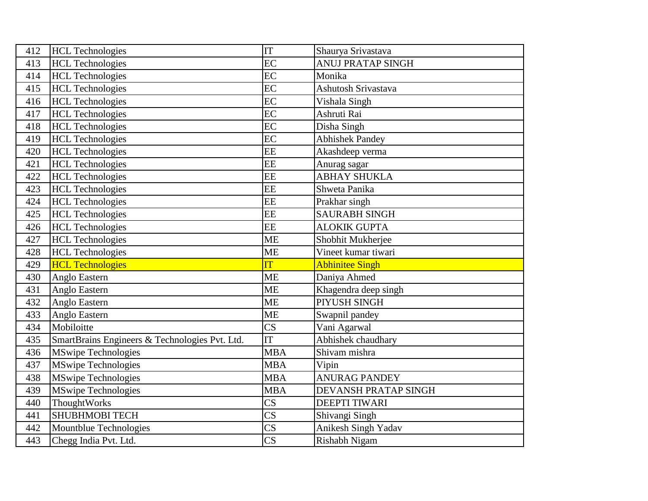| 412 | <b>HCL Technologies</b>                        | IT                     | Shaurya Srivastava         |
|-----|------------------------------------------------|------------------------|----------------------------|
| 413 | <b>HCL Technologies</b>                        | EC                     | <b>ANUJ PRATAP SINGH</b>   |
| 414 | <b>HCL Technologies</b>                        | EC                     | Monika                     |
| 415 | <b>HCL Technologies</b>                        | EC                     | <b>Ashutosh Srivastava</b> |
| 416 | <b>HCL Technologies</b>                        | EC                     | Vishala Singh              |
| 417 | <b>HCL Technologies</b>                        | EC                     | Ashruti Rai                |
| 418 | <b>HCL Technologies</b>                        | EC                     | Disha Singh                |
| 419 | <b>HCL Technologies</b>                        | EC                     | <b>Abhishek Pandey</b>     |
| 420 | <b>HCL Technologies</b>                        | EE                     | Akashdeep verma            |
| 421 | <b>HCL Technologies</b>                        | EE                     | Anurag sagar               |
| 422 | <b>HCL</b> Technologies                        | EE                     | <b>ABHAY SHUKLA</b>        |
| 423 | <b>HCL Technologies</b>                        | EE                     | Shweta Panika              |
| 424 | <b>HCL Technologies</b>                        | EE                     | Prakhar singh              |
| 425 | <b>HCL Technologies</b>                        | EE                     | <b>SAURABH SINGH</b>       |
| 426 | <b>HCL Technologies</b>                        | EE                     | <b>ALOKIK GUPTA</b>        |
| 427 | <b>HCL Technologies</b>                        | <b>ME</b>              | Shobhit Mukherjee          |
| 428 | <b>HCL Technologies</b>                        | <b>ME</b>              | Vineet kumar tiwari        |
| 429 | <b>HCL Technologies</b>                        | IT                     | <b>Abhinitee Singh</b>     |
| 430 | Anglo Eastern                                  | <b>ME</b>              | Daniya Ahmed               |
| 431 | Anglo Eastern                                  | <b>ME</b>              | Khagendra deep singh       |
| 432 | Anglo Eastern                                  | <b>ME</b>              | PIYUSH SINGH               |
| 433 | Anglo Eastern                                  | <b>ME</b>              | Swapnil pandey             |
| 434 | Mobiloitte                                     | $\overline{\text{CS}}$ | Vani Agarwal               |
| 435 | SmartBrains Engineers & Technologies Pvt. Ltd. | IT                     | Abhishek chaudhary         |
| 436 | <b>MSwipe Technologies</b>                     | <b>MBA</b>             | Shivam mishra              |
| 437 | <b>MSwipe Technologies</b>                     | <b>MBA</b>             | Vipin                      |
| 438 | <b>MSwipe Technologies</b>                     | <b>MBA</b>             | <b>ANURAG PANDEY</b>       |
| 439 | <b>MSwipe Technologies</b>                     | <b>MBA</b>             | DEVANSH PRATAP SINGH       |
| 440 | ThoughtWorks                                   | $\overline{\text{CS}}$ | <b>DEEPTI TIWARI</b>       |
| 441 | <b>SHUBHMOBI TECH</b>                          | $\overline{\text{CS}}$ | Shivangi Singh             |
| 442 | Mountblue Technologies                         | $\overline{\text{CS}}$ | Anikesh Singh Yadav        |
| 443 | Chegg India Pvt. Ltd.                          | $\overline{\text{CS}}$ | Rishabh Nigam              |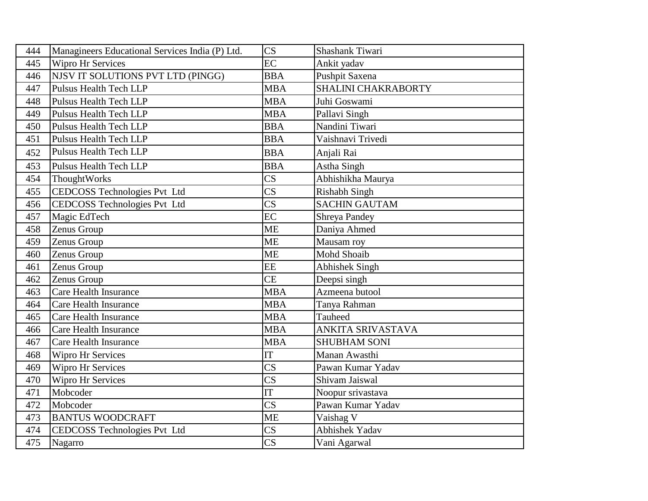| 444 | Managineers Educational Services India (P) Ltd. | $\overline{\text{CS}}$ | Shashank Tiwari          |
|-----|-------------------------------------------------|------------------------|--------------------------|
| 445 | Wipro Hr Services                               | EC                     | Ankit yadav              |
| 446 | NJSV IT SOLUTIONS PVT LTD (PINGG)               | <b>BBA</b>             | Pushpit Saxena           |
| 447 | <b>Pulsus Health Tech LLP</b>                   | <b>MBA</b>             | SHALINI CHAKRABORTY      |
| 448 | Pulsus Health Tech LLP                          | <b>MBA</b>             | Juhi Goswami             |
| 449 | <b>Pulsus Health Tech LLP</b>                   | <b>MBA</b>             | Pallavi Singh            |
| 450 | Pulsus Health Tech LLP                          | <b>BBA</b>             | Nandini Tiwari           |
| 451 | <b>Pulsus Health Tech LLP</b>                   | <b>BBA</b>             | Vaishnavi Trivedi        |
| 452 | Pulsus Health Tech LLP                          | <b>BBA</b>             | Anjali Rai               |
| 453 | Pulsus Health Tech LLP                          | <b>BBA</b>             | Astha Singh              |
| 454 | ThoughtWorks                                    | $\overline{\text{CS}}$ | Abhishikha Maurya        |
| 455 | CEDCOSS Technologies Pvt Ltd                    | $\overline{\text{CS}}$ | <b>Rishabh Singh</b>     |
| 456 | CEDCOSS Technologies Pvt Ltd                    | $\overline{\text{CS}}$ | <b>SACHIN GAUTAM</b>     |
| 457 | Magic EdTech                                    | $\overline{EC}$        | <b>Shreya Pandey</b>     |
| 458 | Zenus Group                                     | <b>ME</b>              | Daniya Ahmed             |
| 459 | Zenus Group                                     | <b>ME</b>              | Mausam roy               |
| 460 | Zenus Group                                     | <b>ME</b>              | Mohd Shoaib              |
| 461 | Zenus Group                                     | EE                     | <b>Abhishek Singh</b>    |
| 462 | Zenus Group                                     | <b>CE</b>              | Deepsi singh             |
| 463 | <b>Care Health Insurance</b>                    | <b>MBA</b>             | Azmeena butool           |
| 464 | <b>Care Health Insurance</b>                    | <b>MBA</b>             | Tanya Rahman             |
| 465 | <b>Care Health Insurance</b>                    | <b>MBA</b>             | Tauheed                  |
| 466 | <b>Care Health Insurance</b>                    | <b>MBA</b>             | <b>ANKITA SRIVASTAVA</b> |
| 467 | <b>Care Health Insurance</b>                    | <b>MBA</b>             | <b>SHUBHAM SONI</b>      |
| 468 | <b>Wipro Hr Services</b>                        | IT                     | Manan Awasthi            |
| 469 | Wipro Hr Services                               | $\overline{\text{CS}}$ | Pawan Kumar Yadav        |
| 470 | Wipro Hr Services                               | $\overline{\text{CS}}$ | Shivam Jaiswal           |
| 471 | Mobcoder                                        | <b>IT</b>              | Noopur srivastava        |
| 472 | Mobcoder                                        | $\overline{\text{CS}}$ | Pawan Kumar Yadav        |
| 473 | <b>BANTUS WOODCRAFT</b>                         | <b>ME</b>              | Vaishag V                |
| 474 | CEDCOSS Technologies Pvt Ltd                    | $\overline{\text{CS}}$ | <b>Abhishek Yadav</b>    |
| 475 | Nagarro                                         | $\overline{\text{CS}}$ | Vani Agarwal             |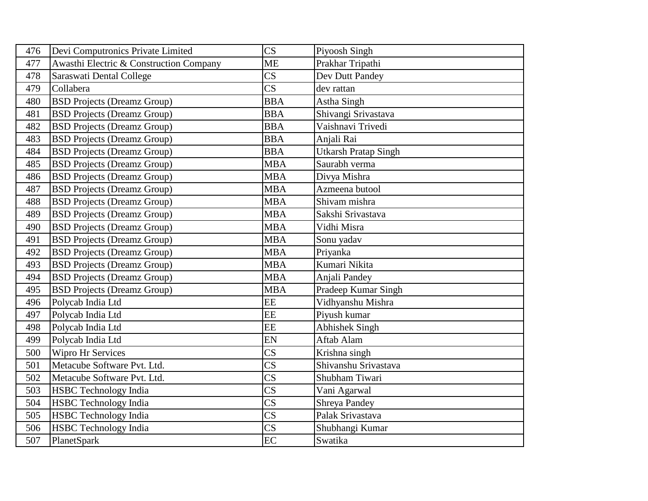| 476 | Devi Computronics Private Limited       | $\overline{\text{CS}}$ | Piyoosh Singh               |
|-----|-----------------------------------------|------------------------|-----------------------------|
| 477 | Awasthi Electric & Construction Company | <b>ME</b>              | Prakhar Tripathi            |
| 478 | Saraswati Dental College                | $\overline{\text{CS}}$ | Dev Dutt Pandey             |
| 479 | Collabera                               | $\overline{\text{CS}}$ | dev rattan                  |
| 480 | <b>BSD Projects (Dreamz Group)</b>      | <b>BBA</b>             | Astha Singh                 |
| 481 | <b>BSD Projects (Dreamz Group)</b>      | <b>BBA</b>             | Shivangi Srivastava         |
| 482 | <b>BSD Projects (Dreamz Group)</b>      | <b>BBA</b>             | Vaishnavi Trivedi           |
| 483 | <b>BSD Projects (Dreamz Group)</b>      | <b>BBA</b>             | Anjali Rai                  |
| 484 | <b>BSD Projects (Dreamz Group)</b>      | <b>BBA</b>             | <b>Utkarsh Pratap Singh</b> |
| 485 | <b>BSD Projects (Dreamz Group)</b>      | <b>MBA</b>             | Saurabh verma               |
| 486 | <b>BSD Projects (Dreamz Group)</b>      | <b>MBA</b>             | Divya Mishra                |
| 487 | <b>BSD Projects (Dreamz Group)</b>      | <b>MBA</b>             | Azmeena butool              |
| 488 | <b>BSD Projects (Dreamz Group)</b>      | <b>MBA</b>             | Shivam mishra               |
| 489 | <b>BSD Projects (Dreamz Group)</b>      | <b>MBA</b>             | Sakshi Srivastava           |
| 490 | <b>BSD Projects (Dreamz Group)</b>      | <b>MBA</b>             | Vidhi Misra                 |
| 491 | <b>BSD Projects (Dreamz Group)</b>      | <b>MBA</b>             | Sonu yadav                  |
| 492 | <b>BSD Projects (Dreamz Group)</b>      | <b>MBA</b>             | Priyanka                    |
| 493 | <b>BSD Projects (Dreamz Group)</b>      | <b>MBA</b>             | Kumari Nikita               |
| 494 | <b>BSD Projects (Dreamz Group)</b>      | <b>MBA</b>             | Anjali Pandey               |
| 495 | <b>BSD Projects (Dreamz Group)</b>      | <b>MBA</b>             | Pradeep Kumar Singh         |
| 496 | Polycab India Ltd                       | EE                     | Vidhyanshu Mishra           |
| 497 | Polycab India Ltd                       | EE                     | Piyush kumar                |
| 498 | Polycab India Ltd                       | EE                     | <b>Abhishek Singh</b>       |
| 499 | Polycab India Ltd                       | EN                     | Aftab Alam                  |
| 500 | Wipro Hr Services                       | $\overline{\text{CS}}$ | Krishna singh               |
| 501 | Metacube Software Pvt. Ltd.             | $\overline{\text{CS}}$ | Shivanshu Srivastava        |
| 502 | Metacube Software Pvt. Ltd.             | $\overline{\text{CS}}$ | Shubham Tiwari              |
| 503 | <b>HSBC</b> Technology India            | $\overline{\text{CS}}$ | Vani Agarwal                |
| 504 | <b>HSBC</b> Technology India            | $\overline{\text{CS}}$ | Shreya Pandey               |
| 505 | <b>HSBC</b> Technology India            | $\overline{\text{CS}}$ | Palak Srivastava            |
| 506 | <b>HSBC</b> Technology India            | $\overline{\text{CS}}$ | Shubhangi Kumar             |
| 507 | PlanetSpark                             | EC                     | Swatika                     |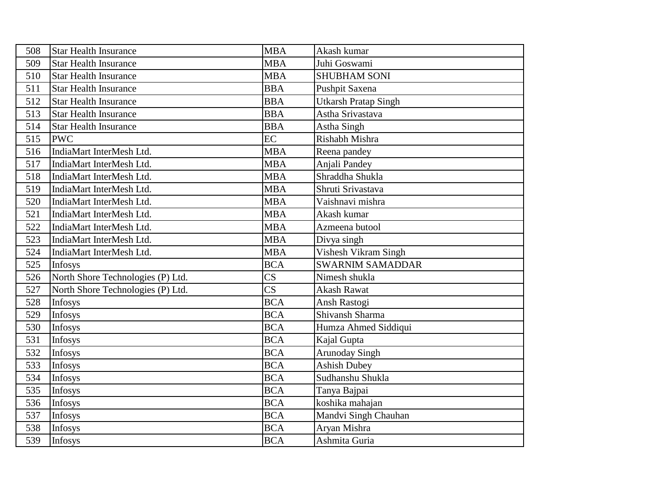| 508 | <b>Star Health Insurance</b>      | <b>MBA</b>             | Akash kumar                 |
|-----|-----------------------------------|------------------------|-----------------------------|
| 509 | <b>Star Health Insurance</b>      | <b>MBA</b>             | Juhi Goswami                |
| 510 | <b>Star Health Insurance</b>      | <b>MBA</b>             | <b>SHUBHAM SONI</b>         |
| 511 | <b>Star Health Insurance</b>      | <b>BBA</b>             | Pushpit Saxena              |
| 512 | <b>Star Health Insurance</b>      | <b>BBA</b>             | <b>Utkarsh Pratap Singh</b> |
| 513 | <b>Star Health Insurance</b>      | <b>BBA</b>             | Astha Srivastava            |
| 514 | <b>Star Health Insurance</b>      | <b>BBA</b>             | Astha Singh                 |
| 515 | <b>PWC</b>                        | EC                     | Rishabh Mishra              |
| 516 | IndiaMart InterMesh Ltd.          | <b>MBA</b>             | Reena pandey                |
| 517 | IndiaMart InterMesh Ltd.          | <b>MBA</b>             | Anjali Pandey               |
| 518 | IndiaMart InterMesh Ltd.          | <b>MBA</b>             | Shraddha Shukla             |
| 519 | IndiaMart InterMesh Ltd.          | <b>MBA</b>             | Shruti Srivastava           |
| 520 | IndiaMart InterMesh Ltd.          | <b>MBA</b>             | Vaishnavi mishra            |
| 521 | IndiaMart InterMesh Ltd.          | <b>MBA</b>             | Akash kumar                 |
| 522 | IndiaMart InterMesh Ltd.          | <b>MBA</b>             | Azmeena butool              |
| 523 | IndiaMart InterMesh Ltd.          | <b>MBA</b>             | Divya singh                 |
| 524 | IndiaMart InterMesh Ltd.          | <b>MBA</b>             | Vishesh Vikram Singh        |
| 525 | Infosys                           | <b>BCA</b>             | <b>SWARNIM SAMADDAR</b>     |
| 526 | North Shore Technologies (P) Ltd. | $\overline{\text{CS}}$ | Nimesh shukla               |
| 527 | North Shore Technologies (P) Ltd. | $\overline{\text{CS}}$ | <b>Akash Rawat</b>          |
| 528 | <b>Infosys</b>                    | <b>BCA</b>             | Ansh Rastogi                |
| 529 | <b>Infosys</b>                    | <b>BCA</b>             | Shivansh Sharma             |
| 530 | Infosys                           | <b>BCA</b>             | Humza Ahmed Siddiqui        |
| 531 | <b>Infosys</b>                    | <b>BCA</b>             | Kajal Gupta                 |
| 532 | Infosys                           | <b>BCA</b>             | <b>Arunoday Singh</b>       |
| 533 | <b>Infosys</b>                    | <b>BCA</b>             | <b>Ashish Dubey</b>         |
| 534 | <b>Infosys</b>                    | <b>BCA</b>             | Sudhanshu Shukla            |
| 535 | Infosys                           | <b>BCA</b>             | Tanya Bajpai                |
| 536 | Infosys                           | <b>BCA</b>             | koshika mahajan             |
| 537 | <b>Infosys</b>                    | <b>BCA</b>             | Mandvi Singh Chauhan        |
| 538 | Infosys                           | <b>BCA</b>             | Aryan Mishra                |
| 539 | <b>Infosys</b>                    | <b>BCA</b>             | Ashmita Guria               |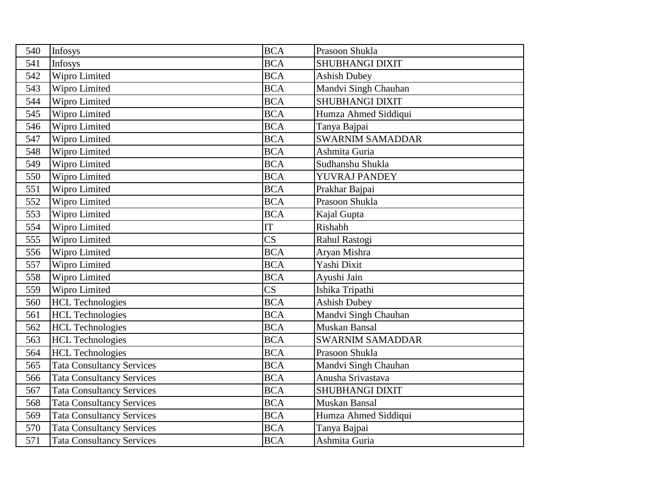| 540 | Infosys                          | <b>BCA</b>             | Prasoon Shukla          |
|-----|----------------------------------|------------------------|-------------------------|
| 541 | <b>Infosys</b>                   | <b>BCA</b>             | <b>SHUBHANGI DIXIT</b>  |
| 542 | Wipro Limited                    | <b>BCA</b>             | <b>Ashish Dubey</b>     |
| 543 | Wipro Limited                    | <b>BCA</b>             | Mandvi Singh Chauhan    |
| 544 | Wipro Limited                    | <b>BCA</b>             | SHUBHANGI DIXIT         |
| 545 | Wipro Limited                    | <b>BCA</b>             | Humza Ahmed Siddiqui    |
| 546 | Wipro Limited                    | <b>BCA</b>             | Tanya Bajpai            |
| 547 | Wipro Limited                    | <b>BCA</b>             | <b>SWARNIM SAMADDAR</b> |
| 548 | Wipro Limited                    | <b>BCA</b>             | Ashmita Guria           |
| 549 | Wipro Limited                    | <b>BCA</b>             | Sudhanshu Shukla        |
| 550 | Wipro Limited                    | <b>BCA</b>             | YUVRAJ PANDEY           |
| 551 | Wipro Limited                    | <b>BCA</b>             | Prakhar Bajpai          |
| 552 | Wipro Limited                    | <b>BCA</b>             | Prasoon Shukla          |
| 553 | Wipro Limited                    | <b>BCA</b>             | Kajal Gupta             |
| 554 | Wipro Limited                    | IT                     | Rishabh                 |
| 555 | Wipro Limited                    | $\overline{\text{CS}}$ | Rahul Rastogi           |
| 556 | Wipro Limited                    | <b>BCA</b>             | Aryan Mishra            |
| 557 | Wipro Limited                    | <b>BCA</b>             | Yashi Dixit             |
| 558 | Wipro Limited                    | <b>BCA</b>             | Ayushi Jain             |
| 559 | Wipro Limited                    | $\overline{\text{CS}}$ | Ishika Tripathi         |
| 560 | <b>HCL Technologies</b>          | <b>BCA</b>             | <b>Ashish Dubey</b>     |
| 561 | <b>HCL Technologies</b>          | <b>BCA</b>             | Mandvi Singh Chauhan    |
| 562 | <b>HCL Technologies</b>          | <b>BCA</b>             | Muskan Bansal           |
| 563 | <b>HCL Technologies</b>          | <b>BCA</b>             | <b>SWARNIM SAMADDAR</b> |
| 564 | <b>HCL Technologies</b>          | <b>BCA</b>             | Prasoon Shukla          |
| 565 | <b>Tata Consultancy Services</b> | <b>BCA</b>             | Mandvi Singh Chauhan    |
| 566 | <b>Tata Consultancy Services</b> | <b>BCA</b>             | Anusha Srivastava       |
| 567 | <b>Tata Consultancy Services</b> | <b>BCA</b>             | SHUBHANGI DIXIT         |
| 568 | <b>Tata Consultancy Services</b> | <b>BCA</b>             | Muskan Bansal           |
| 569 | <b>Tata Consultancy Services</b> | <b>BCA</b>             | Humza Ahmed Siddiqui    |
| 570 | <b>Tata Consultancy Services</b> | <b>BCA</b>             | Tanya Bajpai            |
| 571 | <b>Tata Consultancy Services</b> | <b>BCA</b>             | Ashmita Guria           |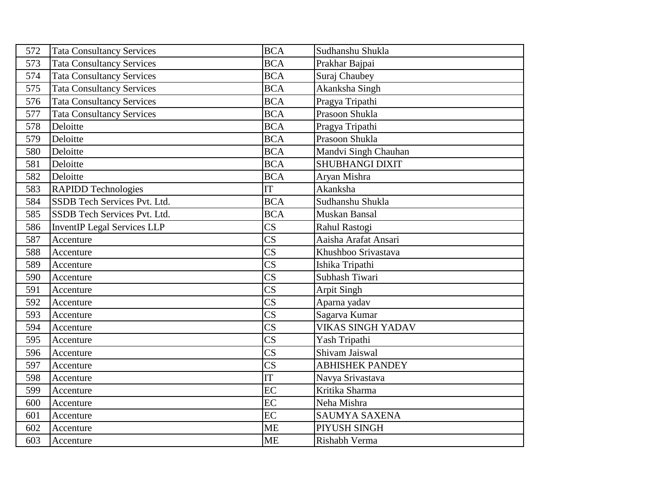| 572 | <b>Tata Consultancy Services</b>   | <b>BCA</b>             | Sudhanshu Shukla         |
|-----|------------------------------------|------------------------|--------------------------|
| 573 | <b>Tata Consultancy Services</b>   | <b>BCA</b>             | Prakhar Bajpai           |
| 574 | <b>Tata Consultancy Services</b>   | <b>BCA</b>             | Suraj Chaubey            |
| 575 | <b>Tata Consultancy Services</b>   | <b>BCA</b>             | Akanksha Singh           |
| 576 | <b>Tata Consultancy Services</b>   | <b>BCA</b>             | Pragya Tripathi          |
| 577 | <b>Tata Consultancy Services</b>   | <b>BCA</b>             | Prasoon Shukla           |
| 578 | Deloitte                           | <b>BCA</b>             | Pragya Tripathi          |
| 579 | Deloitte                           | <b>BCA</b>             | Prasoon Shukla           |
| 580 | Deloitte                           | <b>BCA</b>             | Mandvi Singh Chauhan     |
| 581 | Deloitte                           | <b>BCA</b>             | <b>SHUBHANGI DIXIT</b>   |
| 582 | Deloitte                           | <b>BCA</b>             | Aryan Mishra             |
| 583 | <b>RAPIDD Technologies</b>         | IT                     | Akanksha                 |
| 584 | SSDB Tech Services Pvt. Ltd.       | <b>BCA</b>             | Sudhanshu Shukla         |
| 585 | SSDB Tech Services Pvt. Ltd.       | <b>BCA</b>             | Muskan Bansal            |
| 586 | <b>InventIP Legal Services LLP</b> | $\overline{\text{CS}}$ | Rahul Rastogi            |
| 587 | Accenture                          | $\overline{\text{CS}}$ | Aaisha Arafat Ansari     |
| 588 | Accenture                          | $\overline{\text{CS}}$ | Khushboo Srivastava      |
| 589 | Accenture                          | $\overline{\text{CS}}$ | Ishika Tripathi          |
| 590 | Accenture                          | $\overline{\text{CS}}$ | Subhash Tiwari           |
| 591 | Accenture                          | $\overline{\text{CS}}$ | <b>Arpit Singh</b>       |
| 592 | Accenture                          | $\overline{\text{CS}}$ | Aparna yadav             |
| 593 | Accenture                          | $\overline{\text{CS}}$ | Sagarva Kumar            |
| 594 | Accenture                          | $\overline{\text{CS}}$ | <b>VIKAS SINGH YADAV</b> |
| 595 | Accenture                          | $\overline{\text{CS}}$ | Yash Tripathi            |
| 596 | Accenture                          | $\overline{\text{CS}}$ | Shivam Jaiswal           |
| 597 | Accenture                          | $\overline{\text{CS}}$ | <b>ABHISHEK PANDEY</b>   |
| 598 | Accenture                          | IT                     | Navya Srivastava         |
| 599 | Accenture                          | EC                     | Kritika Sharma           |
| 600 | Accenture                          | EC                     | Neha Mishra              |
| 601 | Accenture                          | EC                     | <b>SAUMYA SAXENA</b>     |
| 602 | Accenture                          | <b>ME</b>              | PIYUSH SINGH             |
| 603 | Accenture                          | <b>ME</b>              | Rishabh Verma            |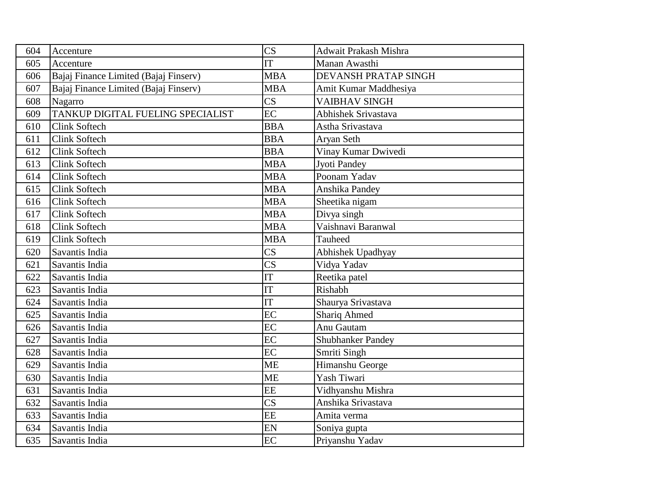| 604 | Accenture                             | $\overline{\text{CS}}$ | Adwait Prakash Mishra      |
|-----|---------------------------------------|------------------------|----------------------------|
| 605 | Accenture                             | IT                     | Manan Awasthi              |
| 606 | Bajaj Finance Limited (Bajaj Finserv) | <b>MBA</b>             | DEVANSH PRATAP SINGH       |
| 607 | Bajaj Finance Limited (Bajaj Finserv) | <b>MBA</b>             | Amit Kumar Maddhesiya      |
| 608 | Nagarro                               | $\overline{\text{CS}}$ | <b>VAIBHAV SINGH</b>       |
| 609 | TANKUP DIGITAL FUELING SPECIALIST     | EC                     | <b>Abhishek Srivastava</b> |
| 610 | <b>Clink Softech</b>                  | <b>BBA</b>             | Astha Srivastava           |
| 611 | Clink Softech                         | <b>BBA</b>             | Aryan Seth                 |
| 612 | <b>Clink Softech</b>                  | <b>BBA</b>             | Vinay Kumar Dwivedi        |
| 613 | <b>Clink Softech</b>                  | <b>MBA</b>             | <b>Jyoti Pandey</b>        |
| 614 | Clink Softech                         | <b>MBA</b>             | Poonam Yadav               |
| 615 | <b>Clink Softech</b>                  | <b>MBA</b>             | <b>Anshika Pandey</b>      |
| 616 | <b>Clink Softech</b>                  | <b>MBA</b>             | Sheetika nigam             |
| 617 | Clink Softech                         | <b>MBA</b>             | Divya singh                |
| 618 | <b>Clink Softech</b>                  | <b>MBA</b>             | Vaishnavi Baranwal         |
| 619 | <b>Clink Softech</b>                  | <b>MBA</b>             | Tauheed                    |
| 620 | Savantis India                        | $\overline{\text{CS}}$ | Abhishek Upadhyay          |
| 621 | Savantis India                        | $\overline{\text{CS}}$ | Vidya Yadav                |
| 622 | Savantis India                        | IT                     | Reetika patel              |
| 623 | Savantis India                        | IΤ                     | Rishabh                    |
| 624 | Savantis India                        | IT                     | Shaurya Srivastava         |
| 625 | Savantis India                        | EC                     | <b>Shariq Ahmed</b>        |
| 626 | Savantis India                        | EC                     | Anu Gautam                 |
| 627 | Savantis India                        | EC                     | <b>Shubhanker Pandey</b>   |
| 628 | Savantis India                        | EC                     | Smriti Singh               |
| 629 | Savantis India                        | <b>ME</b>              | Himanshu George            |
| 630 | Savantis India                        | <b>ME</b>              | Yash Tiwari                |
| 631 | Savantis India                        | EE                     | Vidhyanshu Mishra          |
| 632 | Savantis India                        | $\overline{\text{CS}}$ | Anshika Srivastava         |
| 633 | Savantis India                        | EE                     | Amita verma                |
| 634 | Savantis India                        | EN                     | Soniya gupta               |
| 635 | Savantis India                        | EC                     | Priyanshu Yadav            |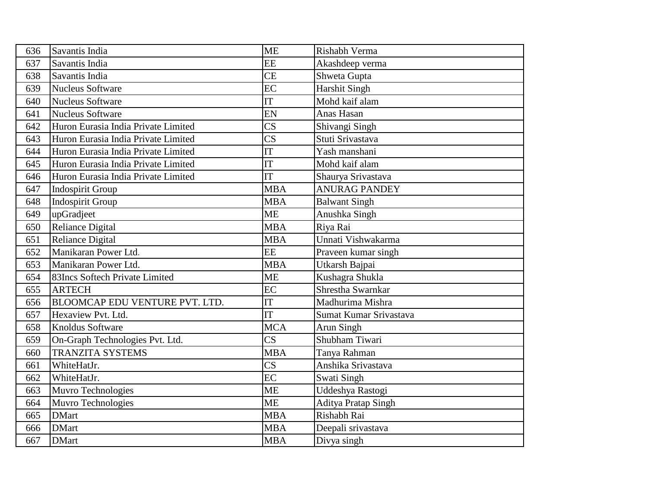| 636 | Savantis India                      | <b>ME</b>              | Rishabh Verma              |
|-----|-------------------------------------|------------------------|----------------------------|
| 637 | Savantis India                      | EE                     | Akashdeep verma            |
| 638 | Savantis India                      | <b>CE</b>              | Shweta Gupta               |
| 639 | <b>Nucleus Software</b>             | EC                     | Harshit Singh              |
| 640 | <b>Nucleus Software</b>             | IT                     | Mohd kaif alam             |
| 641 | <b>Nucleus Software</b>             | EN                     | Anas Hasan                 |
| 642 | Huron Eurasia India Private Limited | $\overline{\text{CS}}$ | Shivangi Singh             |
| 643 | Huron Eurasia India Private Limited | $\overline{\text{CS}}$ | Stuti Srivastava           |
| 644 | Huron Eurasia India Private Limited | IT                     | Yash manshani              |
| 645 | Huron Eurasia India Private Limited | IT                     | Mohd kaif alam             |
| 646 | Huron Eurasia India Private Limited | IT                     | Shaurya Srivastava         |
| 647 | <b>Indospirit Group</b>             | <b>MBA</b>             | <b>ANURAG PANDEY</b>       |
| 648 | <b>Indospirit Group</b>             | <b>MBA</b>             | <b>Balwant Singh</b>       |
| 649 | upGradjeet                          | <b>ME</b>              | Anushka Singh              |
| 650 | <b>Reliance Digital</b>             | <b>MBA</b>             | Riya Rai                   |
| 651 | <b>Reliance Digital</b>             | <b>MBA</b>             | Unnati Vishwakarma         |
| 652 | Manikaran Power Ltd.                | EE                     | Praveen kumar singh        |
| 653 | Manikaran Power Ltd.                | <b>MBA</b>             | Utkarsh Bajpai             |
| 654 | 83Incs Softech Private Limited      | <b>ME</b>              | Kushagra Shukla            |
| 655 | <b>ARTECH</b>                       | EC                     | Shrestha Swarnkar          |
| 656 | BLOOMCAP EDU VENTURE PVT. LTD.      | IT                     | Madhurima Mishra           |
| 657 | Hexaview Pvt. Ltd.                  | IT                     | Sumat Kumar Srivastava     |
| 658 | Knoldus Software                    | <b>MCA</b>             | Arun Singh                 |
| 659 | On-Graph Technologies Pvt. Ltd.     | $\overline{\text{CS}}$ | Shubham Tiwari             |
| 660 | <b>TRANZITA SYSTEMS</b>             | <b>MBA</b>             | Tanya Rahman               |
| 661 | WhiteHatJr.                         | $\overline{\text{CS}}$ | Anshika Srivastava         |
| 662 | WhiteHatJr.                         | EC                     | Swati Singh                |
| 663 | Muvro Technologies                  | <b>ME</b>              | Uddeshya Rastogi           |
| 664 | Muvro Technologies                  | <b>ME</b>              | <b>Aditya Pratap Singh</b> |
| 665 | <b>DMart</b>                        | <b>MBA</b>             | Rishabh Rai                |
| 666 | <b>DMart</b>                        | <b>MBA</b>             | Deepali srivastava         |
| 667 | <b>DMart</b>                        | <b>MBA</b>             | Divya singh                |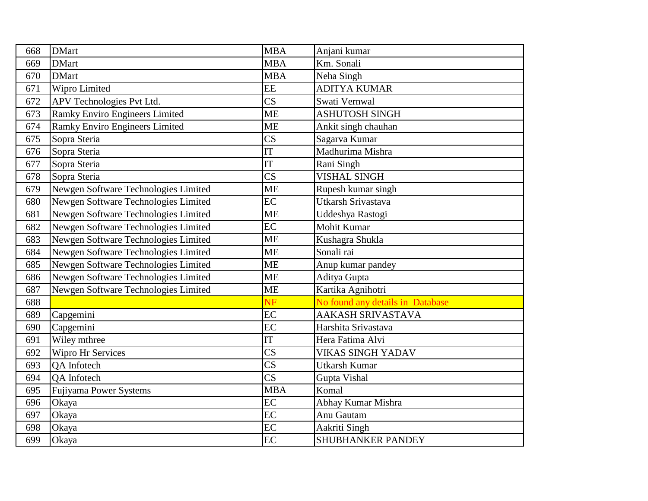| 668 | <b>DMart</b>                          | <b>MBA</b>             | Anjani kumar                     |
|-----|---------------------------------------|------------------------|----------------------------------|
| 669 | <b>DMart</b>                          | <b>MBA</b>             | Km. Sonali                       |
| 670 | <b>DMart</b>                          | <b>MBA</b>             | Neha Singh                       |
| 671 | Wipro Limited                         | EE                     | <b>ADITYA KUMAR</b>              |
| 672 | APV Technologies Pvt Ltd.             | $\overline{\text{CS}}$ | Swati Vernwal                    |
| 673 | <b>Ramky Enviro Engineers Limited</b> | <b>ME</b>              | <b>ASHUTOSH SINGH</b>            |
| 674 | <b>Ramky Enviro Engineers Limited</b> | <b>ME</b>              | Ankit singh chauhan              |
| 675 | Sopra Steria                          | $\overline{\text{CS}}$ | Sagarva Kumar                    |
| 676 | Sopra Steria                          | IT                     | Madhurima Mishra                 |
| 677 | Sopra Steria                          | IT                     | Rani Singh                       |
| 678 | Sopra Steria                          | $\overline{\text{CS}}$ | <b>VISHAL SINGH</b>              |
| 679 | Newgen Software Technologies Limited  | <b>ME</b>              | Rupesh kumar singh               |
| 680 | Newgen Software Technologies Limited  | EC                     | Utkarsh Srivastava               |
| 681 | Newgen Software Technologies Limited  | <b>ME</b>              | Uddeshya Rastogi                 |
| 682 | Newgen Software Technologies Limited  | EC                     | Mohit Kumar                      |
| 683 | Newgen Software Technologies Limited  | <b>ME</b>              | Kushagra Shukla                  |
| 684 | Newgen Software Technologies Limited  | <b>ME</b>              | Sonali rai                       |
| 685 | Newgen Software Technologies Limited  | <b>ME</b>              | Anup kumar pandey                |
| 686 | Newgen Software Technologies Limited  | <b>ME</b>              | Aditya Gupta                     |
| 687 | Newgen Software Technologies Limited  | <b>ME</b>              | Kartika Agnihotri                |
| 688 |                                       | <b>NF</b>              | No found any details in Database |
| 689 | Capgemini                             | EC                     | AAKASH SRIVASTAVA                |
| 690 | Capgemini                             | EC                     | Harshita Srivastava              |
| 691 | Wiley mthree                          | IT                     | Hera Fatima Alvi                 |
| 692 | <b>Wipro Hr Services</b>              | $\overline{\text{CS}}$ | <b>VIKAS SINGH YADAV</b>         |
| 693 | <b>QA</b> Infotech                    | $\overline{\text{CS}}$ | <b>Utkarsh Kumar</b>             |
| 694 | <b>OA</b> Infotech                    | $\overline{\text{CS}}$ | Gupta Vishal                     |
| 695 | Fujiyama Power Systems                | <b>MBA</b>             | Komal                            |
| 696 | Okaya                                 | EC                     | Abhay Kumar Mishra               |
| 697 | Okaya                                 | EC                     | Anu Gautam                       |
| 698 | Okaya                                 | EC                     | Aakriti Singh                    |
| 699 | Okaya                                 | EC                     | <b>SHUBHANKER PANDEY</b>         |
|     |                                       |                        |                                  |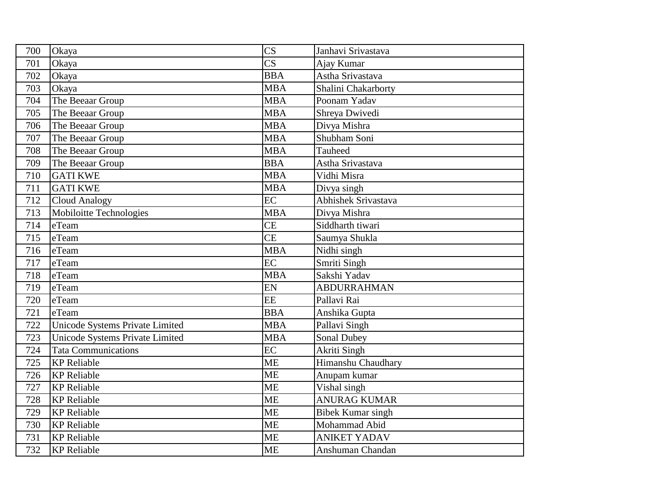| 700 | Okaya                           | $\overline{\text{CS}}$ | Janhavi Srivastava         |
|-----|---------------------------------|------------------------|----------------------------|
| 701 | Okaya                           | $\overline{\text{CS}}$ | Ajay Kumar                 |
| 702 | Okaya                           | <b>BBA</b>             | Astha Srivastava           |
| 703 | Okaya                           | <b>MBA</b>             | Shalini Chakarborty        |
| 704 | The Beeaar Group                | <b>MBA</b>             | Poonam Yadav               |
| 705 | The Beeaar Group                | <b>MBA</b>             | Shreya Dwivedi             |
| 706 | The Beeaar Group                | <b>MBA</b>             | Divya Mishra               |
| 707 | The Beeaar Group                | <b>MBA</b>             | Shubham Soni               |
| 708 | The Beeaar Group                | <b>MBA</b>             | Tauheed                    |
| 709 | The Beeaar Group                | <b>BBA</b>             | Astha Srivastava           |
| 710 | <b>GATI KWE</b>                 | <b>MBA</b>             | Vidhi Misra                |
| 711 | <b>GATI KWE</b>                 | <b>MBA</b>             | Divya singh                |
| 712 | <b>Cloud Analogy</b>            | EC                     | <b>Abhishek Srivastava</b> |
| 713 | Mobiloitte Technologies         | <b>MBA</b>             | Divya Mishra               |
| 714 | eTeam                           | <b>CE</b>              | Siddharth tiwari           |
| 715 | eTeam                           | <b>CE</b>              | Saumya Shukla              |
| 716 | eTeam                           | <b>MBA</b>             | Nidhi singh                |
| 717 | eTeam                           | EC                     | Smriti Singh               |
| 718 | eTeam                           | <b>MBA</b>             | Sakshi Yadav               |
| 719 | eTeam                           | EN                     | <b>ABDURRAHMAN</b>         |
| 720 | eTeam                           | EE                     | Pallavi Rai                |
| 721 | eTeam                           | <b>BBA</b>             | Anshika Gupta              |
| 722 | Unicode Systems Private Limited | <b>MBA</b>             | Pallavi Singh              |
| 723 | Unicode Systems Private Limited | <b>MBA</b>             | <b>Sonal Dubey</b>         |
| 724 | <b>Tata Communications</b>      | EC                     | Akriti Singh               |
| 725 | <b>KP</b> Reliable              | <b>ME</b>              | Himanshu Chaudhary         |
| 726 | <b>KP</b> Reliable              | <b>ME</b>              | Anupam kumar               |
| 727 | <b>KP</b> Reliable              | <b>ME</b>              | Vishal singh               |
| 728 | <b>KP</b> Reliable              | <b>ME</b>              | <b>ANURAG KUMAR</b>        |
| 729 | <b>KP</b> Reliable              | <b>ME</b>              | <b>Bibek Kumar singh</b>   |
| 730 | <b>KP</b> Reliable              | <b>ME</b>              | Mohammad Abid              |
| 731 | <b>KP</b> Reliable              | <b>ME</b>              | <b>ANIKET YADAV</b>        |
| 732 | <b>KP</b> Reliable              | <b>ME</b>              | Anshuman Chandan           |
|     |                                 |                        |                            |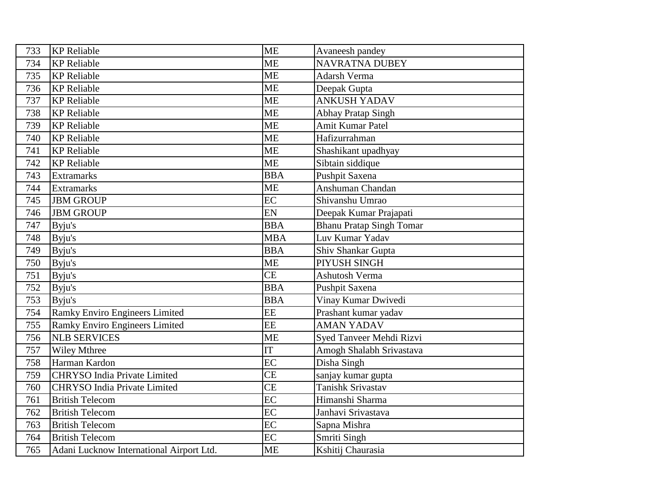| 733 | <b>KP</b> Reliable                       | <b>ME</b>  | Avaneesh pandey                 |
|-----|------------------------------------------|------------|---------------------------------|
| 734 | <b>KP</b> Reliable                       | <b>ME</b>  | <b>NAVRATNA DUBEY</b>           |
| 735 | <b>KP</b> Reliable                       | <b>ME</b>  | Adarsh Verma                    |
| 736 | <b>KP</b> Reliable                       | <b>ME</b>  | Deepak Gupta                    |
| 737 | <b>KP</b> Reliable                       | <b>ME</b>  | <b>ANKUSH YADAV</b>             |
| 738 | <b>KP</b> Reliable                       | <b>ME</b>  | <b>Abhay Pratap Singh</b>       |
| 739 | <b>KP</b> Reliable                       | <b>ME</b>  | Amit Kumar Patel                |
| 740 | <b>KP</b> Reliable                       | <b>ME</b>  | Hafizurrahman                   |
| 741 | <b>KP</b> Reliable                       | <b>ME</b>  | Shashikant upadhyay             |
| 742 | <b>KP</b> Reliable                       | <b>ME</b>  | Sibtain siddique                |
| 743 | <b>Extramarks</b>                        | <b>BBA</b> | Pushpit Saxena                  |
| 744 | <b>Extramarks</b>                        | <b>ME</b>  | Anshuman Chandan                |
| 745 | <b>JBM GROUP</b>                         | EC         | Shivanshu Umrao                 |
| 746 | <b>JBM GROUP</b>                         | EN         | Deepak Kumar Prajapati          |
| 747 | Byju's                                   | <b>BBA</b> | <b>Bhanu Pratap Singh Tomar</b> |
| 748 | Byju's                                   | <b>MBA</b> | Luv Kumar Yadav                 |
| 749 | Byju's                                   | <b>BBA</b> | Shiv Shankar Gupta              |
| 750 | Byju's                                   | <b>ME</b>  | PIYUSH SINGH                    |
| 751 | Byju's                                   | <b>CE</b>  | <b>Ashutosh Verma</b>           |
| 752 | Byju's                                   | <b>BBA</b> | Pushpit Saxena                  |
| 753 | Byju's                                   | <b>BBA</b> | Vinay Kumar Dwivedi             |
| 754 | Ramky Enviro Engineers Limited           | EE         | Prashant kumar yadav            |
| 755 | <b>Ramky Enviro Engineers Limited</b>    | EE         | AMAN YADAV                      |
| 756 | <b>NLB SERVICES</b>                      | <b>ME</b>  | Syed Tanveer Mehdi Rizvi        |
| 757 | <b>Wiley Mthree</b>                      | IT         | Amogh Shalabh Srivastava        |
| 758 | Harman Kardon                            | EC         | Disha Singh                     |
| 759 | <b>CHRYSO</b> India Private Limited      | <b>CE</b>  | sanjay kumar gupta              |
| 760 | <b>CHRYSO</b> India Private Limited      | <b>CE</b>  | <b>Tanishk Srivastav</b>        |
| 761 | <b>British Telecom</b>                   | EC         | Himanshi Sharma                 |
| 762 | <b>British Telecom</b>                   | EC         | Janhavi Srivastava              |
| 763 | <b>British Telecom</b>                   | EC         | Sapna Mishra                    |
| 764 | <b>British Telecom</b>                   | EC         | Smriti Singh                    |
| 765 | Adani Lucknow International Airport Ltd. | <b>ME</b>  | Kshitij Chaurasia               |
|     |                                          |            |                                 |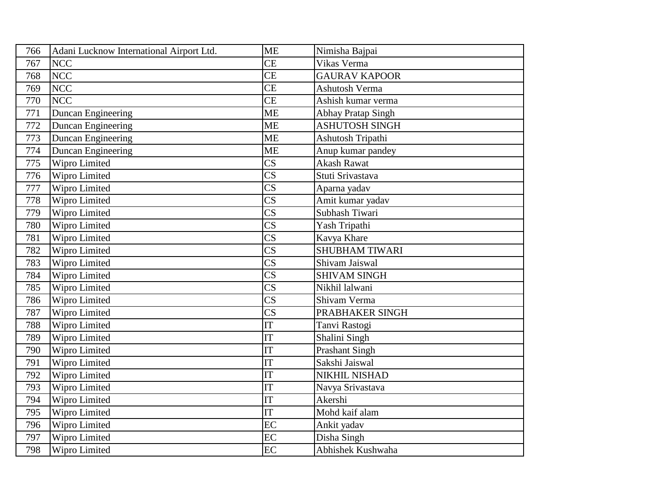| 766 | Adani Lucknow International Airport Ltd. | <b>ME</b>              | Nimisha Bajpai        |
|-----|------------------------------------------|------------------------|-----------------------|
| 767 | <b>NCC</b>                               | <b>CE</b>              | Vikas Verma           |
| 768 | <b>NCC</b>                               | <b>CE</b>              | <b>GAURAV KAPOOR</b>  |
| 769 | <b>NCC</b>                               | <b>CE</b>              | <b>Ashutosh Verma</b> |
| 770 | <b>NCC</b>                               | <b>CE</b>              | Ashish kumar verma    |
| 771 | Duncan Engineering                       | <b>ME</b>              | Abhay Pratap Singh    |
| 772 | Duncan Engineering                       | <b>ME</b>              | <b>ASHUTOSH SINGH</b> |
| 773 | Duncan Engineering                       | <b>ME</b>              | Ashutosh Tripathi     |
| 774 | Duncan Engineering                       | <b>ME</b>              | Anup kumar pandey     |
| 775 | Wipro Limited                            | $\overline{\text{CS}}$ | Akash Rawat           |
| 776 | Wipro Limited                            | $\overline{\text{CS}}$ | Stuti Srivastava      |
| 777 | Wipro Limited                            | $\overline{\text{CS}}$ | Aparna yadav          |
| 778 | Wipro Limited                            | $\overline{\text{CS}}$ | Amit kumar yadav      |
| 779 | Wipro Limited                            | $\overline{\text{CS}}$ | Subhash Tiwari        |
| 780 | Wipro Limited                            | $\overline{\text{CS}}$ | Yash Tripathi         |
| 781 | Wipro Limited                            | $\overline{\text{CS}}$ | Kavya Khare           |
| 782 | Wipro Limited                            | $\overline{\text{CS}}$ | <b>SHUBHAM TIWARI</b> |
| 783 | Wipro Limited                            | $\overline{\text{CS}}$ | Shivam Jaiswal        |
| 784 | Wipro Limited                            | $\overline{\text{CS}}$ | <b>SHIVAM SINGH</b>   |
| 785 | Wipro Limited                            | $\overline{\text{CS}}$ | Nikhil lalwani        |
| 786 | Wipro Limited                            | $\overline{\text{CS}}$ | Shivam Verma          |
| 787 | Wipro Limited                            | $\overline{\text{CS}}$ | PRABHAKER SINGH       |
| 788 | Wipro Limited                            | <b>IT</b>              | Tanvi Rastogi         |
| 789 | Wipro Limited                            | IT                     | Shalini Singh         |
| 790 | Wipro Limited                            | IT                     | <b>Prashant Singh</b> |
| 791 | Wipro Limited                            | <b>IT</b>              | Sakshi Jaiswal        |
| 792 | Wipro Limited                            | IT                     | <b>NIKHIL NISHAD</b>  |
| 793 | Wipro Limited                            | <b>IT</b>              | Navya Srivastava      |
| 794 | Wipro Limited                            | <b>IT</b>              | Akershi               |
| 795 | Wipro Limited                            | IT                     | Mohd kaif alam        |
| 796 | Wipro Limited                            | EC                     | Ankit yadav           |
| 797 | Wipro Limited                            | EC                     | Disha Singh           |
| 798 | Wipro Limited                            | EC                     | Abhishek Kushwaha     |
|     |                                          |                        |                       |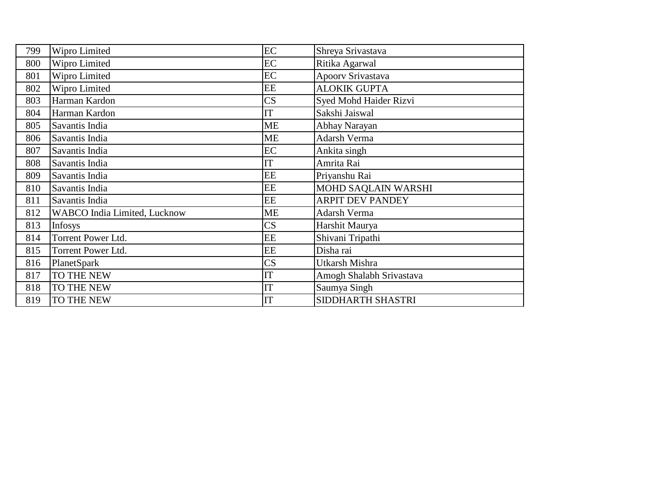| 799 | Wipro Limited                | EC                     | Shreya Srivastava        |
|-----|------------------------------|------------------------|--------------------------|
| 800 | Wipro Limited                | EC                     | Ritika Agarwal           |
| 801 | Wipro Limited                | EC                     | Apoorv Srivastava        |
| 802 | Wipro Limited                | EE                     | <b>ALOKIK GUPTA</b>      |
| 803 | Harman Kardon                | CS                     | Syed Mohd Haider Rizvi   |
| 804 | Harman Kardon                | IT                     | Sakshi Jaiswal           |
| 805 | Savantis India               | ME                     | Abhay Narayan            |
| 806 | Savantis India               | <b>ME</b>              | Adarsh Verma             |
| 807 | Savantis India               | EC                     | Ankita singh             |
| 808 | Savantis India               | IT                     | Amrita Rai               |
| 809 | Savantis India               | EE                     | Priyanshu Rai            |
| 810 | Savantis India               | EE                     | MOHD SAQLAIN WARSHI      |
| 811 | Savantis India               | EE                     | <b>ARPIT DEV PANDEY</b>  |
| 812 | WABCO India Limited, Lucknow | <b>ME</b>              | Adarsh Verma             |
| 813 | Infosys                      | CS                     | Harshit Maurya           |
| 814 | Torrent Power Ltd.           | EE                     | Shivani Tripathi         |
| 815 | Torrent Power Ltd.           | EE                     | Disha rai                |
| 816 | PlanetSpark                  | $\overline{\text{CS}}$ | Utkarsh Mishra           |
| 817 | TO THE NEW                   | IT                     | Amogh Shalabh Srivastava |
| 818 | TO THE NEW                   | IT                     | Saumya Singh             |
| 819 | TO THE NEW                   | IT                     | SIDDHARTH SHASTRI        |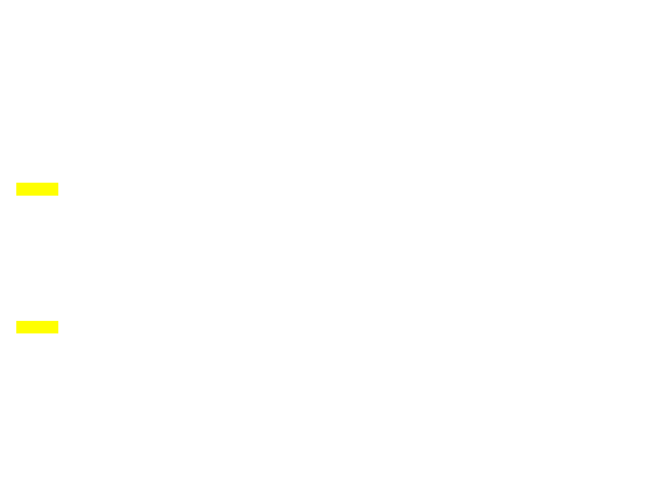$\sim 10$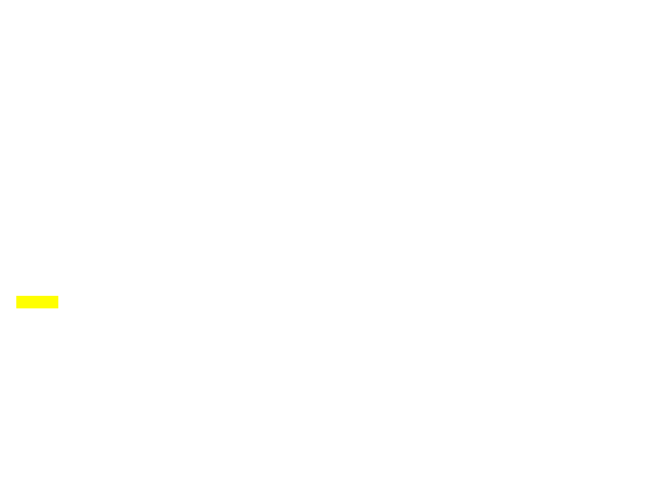$\mathcal{L}^{\text{max}}$